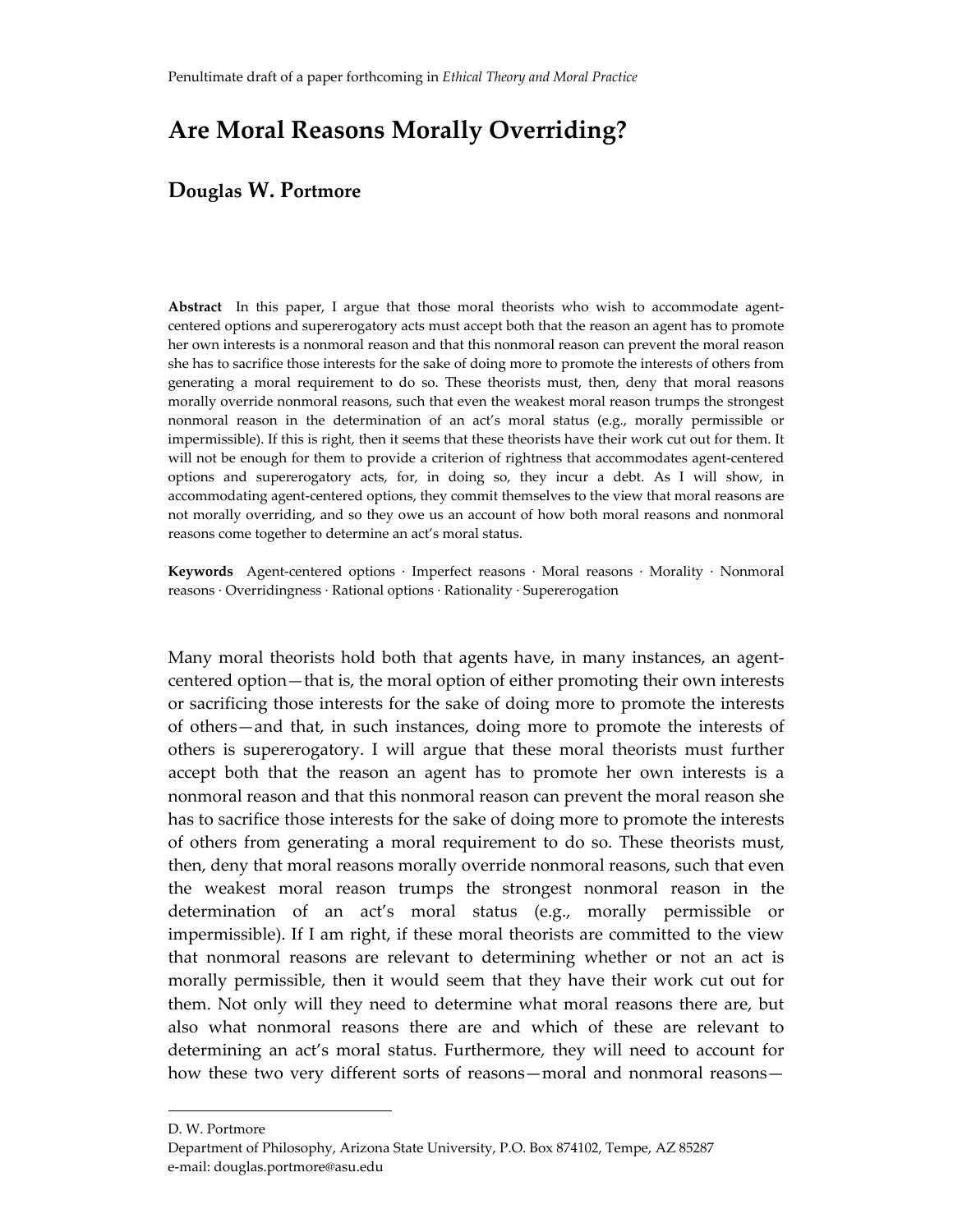# **Are Moral Reasons Morally Overriding?**

# **Douglas W. Portmore**

Abstract In this paper, I argue that those moral theorists who wish to accommodate agentcentered options and supererogatory acts must accept both that the reason an agent has to promote her own interests is a nonmoral reason and that this nonmoral reason can prevent the moral reason she has to sacrifice those interests for the sake of doing more to promote the interests of others from generating a moral requirement to do so. These theorists must, then, deny that moral reasons morally override nonmoral reasons, such that even the weakest moral reason trumps the strongest nonmoral reason in the determination of an act's moral status (e.g., morally permissible or impermissible). If this is right, then it seems that these theorists have their work cut out for them. It will not be enough for them to provide a criterion of rightness that accommodates agent-centered options and supererogatory acts, for, in doing so, they incur a debt. As I will show, in accommodating agent‐centered options, they commit themselves to the view that moral reasons are not morally overriding, and so they owe us an account of how both moral reasons and nonmoral reasons come together to determine an act's moral status.

**Keywords** Agent‐centered options ∙ Imperfect reasons ∙ Moral reasons ∙ Morality ∙ Nonmoral reasons ∙ Overridingness ∙ Rational options ∙ Rationality ∙ Supererogation

Many moral theorists hold both that agents have, in many instances, an agent‐ centered option—that is, the moral option of either promoting their own interests or sacrificing those interests for the sake of doing more to promote the interests of others—and that, in such instances, doing more to promote the interests of others is supererogatory. I will argue that these moral theorists must further accept both that the reason an agent has to promote her own interests is a nonmoral reason and that this nonmoral reason can prevent the moral reason she has to sacrifice those interests for the sake of doing more to promote the interests of others from generating a moral requirement to do so. These theorists must, then, deny that moral reasons morally override nonmoral reasons, such that even the weakest moral reason trumps the strongest nonmoral reason in the determination of an act's moral status (e.g., morally permissible or impermissible). If I am right, if these moral theorists are committed to the view that nonmoral reasons are relevant to determining whether or not an act is morally permissible, then it would seem that they have their work cut out for them. Not only will they need to determine what moral reasons there are, but also what nonmoral reasons there are and which of these are relevant to determining an act's moral status. Furthermore, they will need to account for how these two very different sorts of reasons—moral and nonmoral reasons—

D. W. Portmore

Department of Philosophy, Arizona State University, P.O. Box 874102, Tempe, AZ 85287 e‐mail: douglas.portmore@asu.edu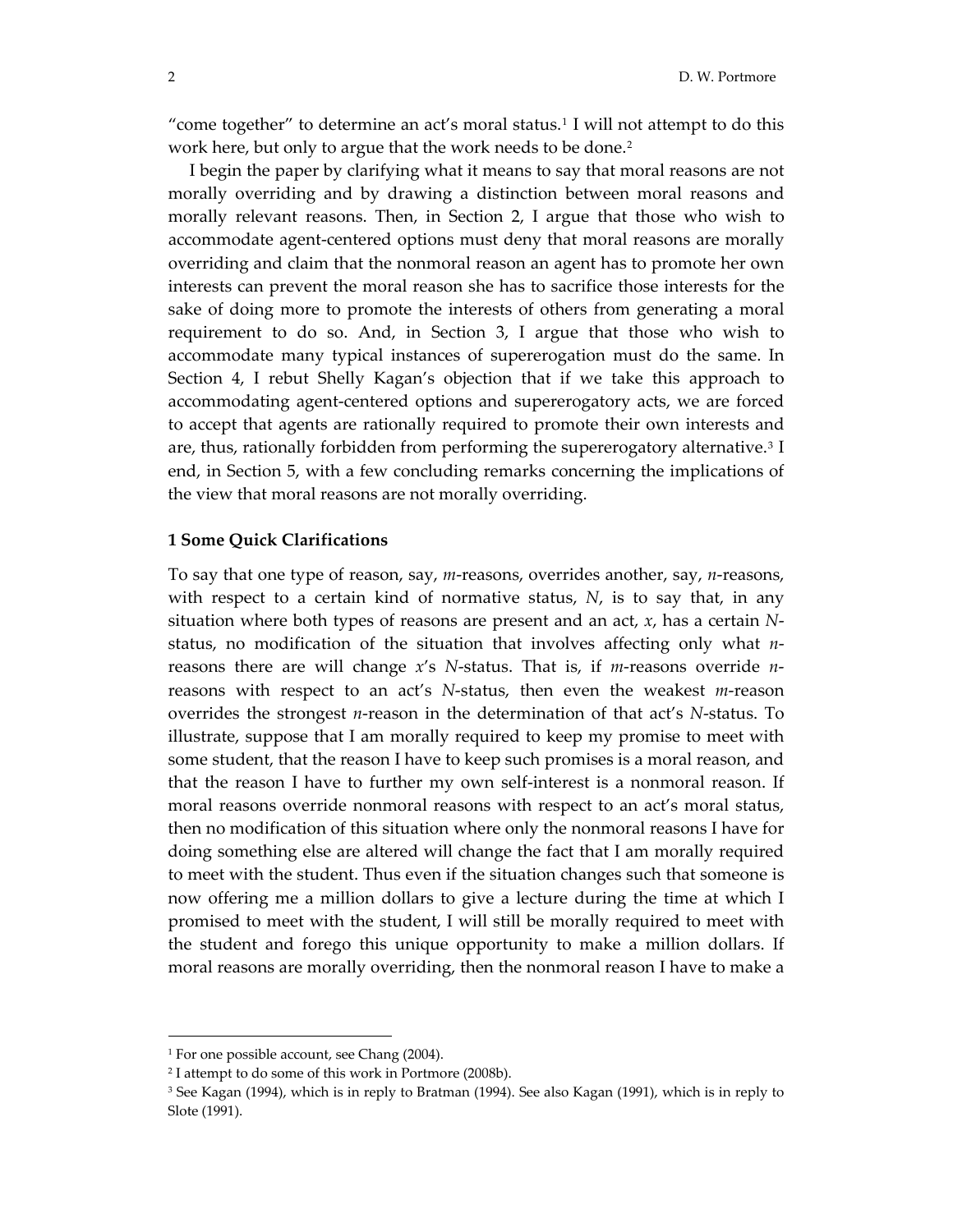"come together" to determine an act's moral status.<sup>[1](#page-1-0)</sup> I will not attempt to do this work here, but only to argue that the work needs to be done.<sup>[2](#page-1-1)</sup>

 I begin the paper by clarifying what it means to say that moral reasons are not morally overriding and by drawing a distinction between moral reasons and morally relevant reasons. Then, in Section 2, I argue that those who wish to accommodate agent‐centered options must deny that moral reasons are morally overriding and claim that the nonmoral reason an agent has to promote her own interests can prevent the moral reason she has to sacrifice those interests for the sake of doing more to promote the interests of others from generating a moral requirement to do so. And, in Section 3, I argue that those who wish to accommodate many typical instances of supererogation must do the same. In Section 4, I rebut Shelly Kagan's objection that if we take this approach to accommodating agent‐centered options and supererogatory acts, we are forced to accept that agents are rationally required to promote their own interests and are, thus, rationally forbidden from performing the supererogatory alternative.[3](#page-1-2) I end, in Section 5, with a few concluding remarks concerning the implications of the view that moral reasons are not morally overriding.

#### **1 Some Quick Clarifications**

To say that one type of reason, say, *m*-reasons, overrides another, say, *n*-reasons, with respect to a certain kind of normative status, *N*, is to say that, in any situation where both types of reasons are present and an act, *x*, has a certain *N*‐ status, no modification of the situation that involves affecting only what *n*‐ reasons there are will change *x's N*-status. That is, if *m*-reasons override *n*reasons with respect to an act's *N*-status, then even the weakest *m*-reason overrides the strongest *n*‐reason in the determination of that act's *N*‐status. To illustrate, suppose that I am morally required to keep my promise to meet with some student, that the reason I have to keep such promises is a moral reason, and that the reason I have to further my own self‐interest is a nonmoral reason. If moral reasons override nonmoral reasons with respect to an act's moral status, then no modification of this situation where only the nonmoral reasons I have for doing something else are altered will change the fact that I am morally required to meet with the student. Thus even if the situation changes such that someone is now offering me a million dollars to give a lecture during the time at which I promised to meet with the student, I will still be morally required to meet with the student and forego this unique opportunity to make a million dollars. If moral reasons are morally overriding, then the nonmoral reason I have to make a

<span id="page-1-0"></span><sup>1</sup> For one possible account, see Chang (2004).

<span id="page-1-1"></span><sup>2</sup> I attempt to do some of this work in Portmore (2008b).

<span id="page-1-2"></span><sup>3</sup> See Kagan (1994), which is in reply to Bratman (1994). See also Kagan (1991), which is in reply to Slote (1991).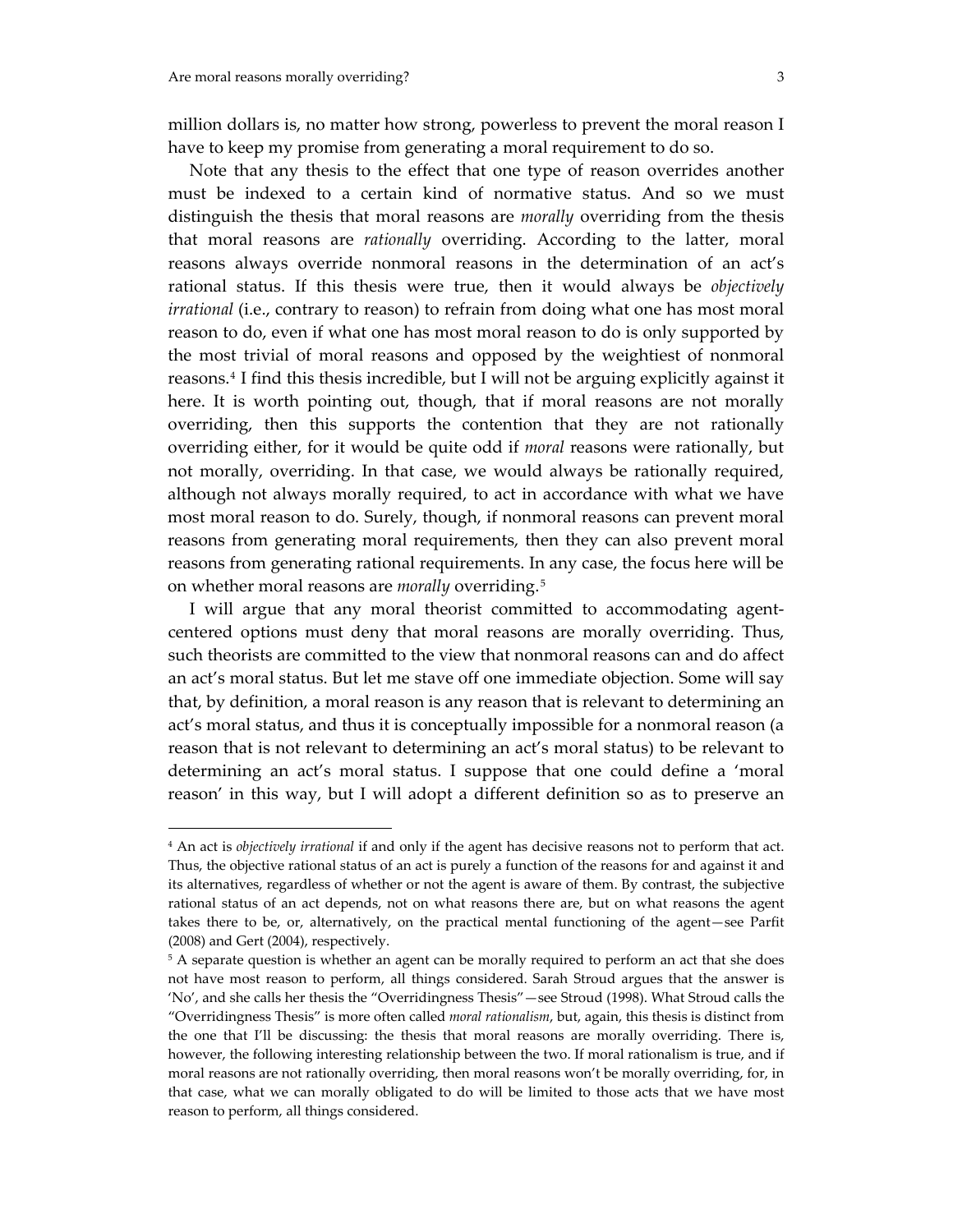$\overline{a}$ 

million dollars is, no matter how strong, powerless to prevent the moral reason I have to keep my promise from generating a moral requirement to do so.

 Note that any thesis to the effect that one type of reason overrides another must be indexed to a certain kind of normative status. And so we must distinguish the thesis that moral reasons are *morally* overriding from the thesis that moral reasons are *rationally* overriding. According to the latter, moral reasons always override nonmoral reasons in the determination of an act's rational status. If this thesis were true, then it would always be *objectively irrational* (i.e., contrary to reason) to refrain from doing what one has most moral reason to do, even if what one has most moral reason to do is only supported by the most trivial of moral reasons and opposed by the weightiest of nonmoral reasons.[4](#page-2-0) I find this thesis incredible, but I will not be arguing explicitly against it here. It is worth pointing out, though, that if moral reasons are not morally overriding, then this supports the contention that they are not rationally overriding either, for it would be quite odd if *moral* reasons were rationally, but not morally, overriding. In that case, we would always be rationally required, although not always morally required, to act in accordance with what we have most moral reason to do. Surely, though, if nonmoral reasons can prevent moral reasons from generating moral requirements, then they can also prevent moral reasons from generating rational requirements. In any case, the focus here will be on whether moral reasons are *morally* overriding.[5](#page-2-1)

 I will argue that any moral theorist committed to accommodating agent‐ centered options must deny that moral reasons are morally overriding. Thus, such theorists are committed to the view that nonmoral reasons can and do affect an act's moral status. But let me stave off one immediate objection. Some will say that, by definition, a moral reason is any reason that is relevant to determining an act's moral status, and thus it is conceptually impossible for a nonmoral reason (a reason that is not relevant to determining an act's moral status) to be relevant to determining an act's moral status. I suppose that one could define a 'moral reason' in this way, but I will adopt a different definition so as to preserve an

<span id="page-2-0"></span><sup>4</sup> An act is *objectively irrational* if and only if the agent has decisive reasons not to perform that act. Thus, the objective rational status of an act is purely a function of the reasons for and against it and its alternatives, regardless of whether or not the agent is aware of them. By contrast, the subjective rational status of an act depends, not on what reasons there are, but on what reasons the agent takes there to be, or, alternatively, on the practical mental functioning of the agent—see Parfit (2008) and Gert (2004), respectively.

<span id="page-2-1"></span><sup>&</sup>lt;sup>5</sup> A separate question is whether an agent can be morally required to perform an act that she does not have most reason to perform, all things considered. Sarah Stroud argues that the answer is 'No', and she calls her thesis the "Overridingness Thesis"—see Stroud (1998). What Stroud calls the "Overridingness Thesis" is more often called *moral rationalism*, but, again, this thesis is distinct from the one that I'll be discussing: the thesis that moral reasons are morally overriding. There is, however, the following interesting relationship between the two. If moral rationalism is true, and if moral reasons are not rationally overriding, then moral reasons won't be morally overriding, for, in that case, what we can morally obligated to do will be limited to those acts that we have most reason to perform, all things considered.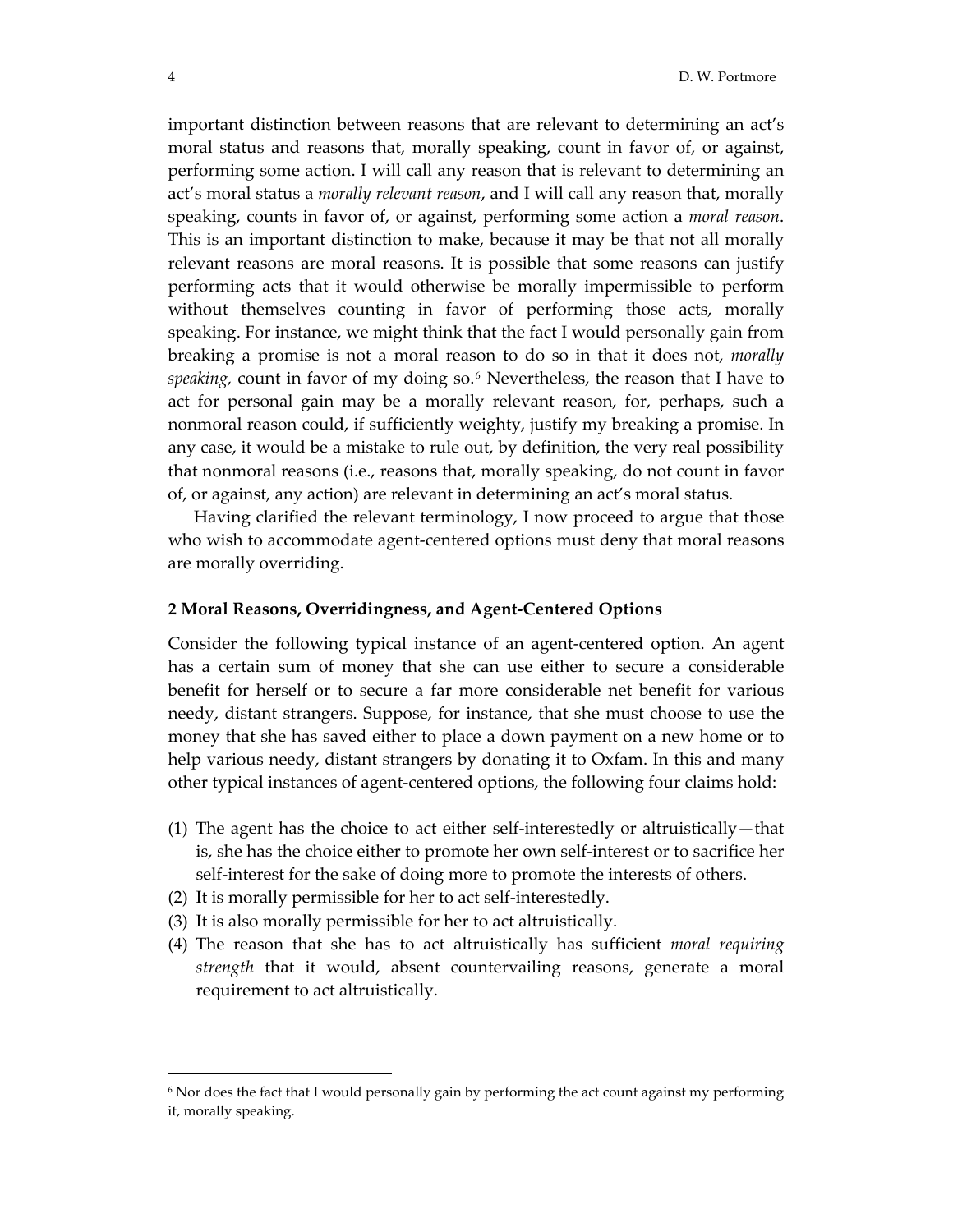important distinction between reasons that are relevant to determining an act's moral status and reasons that, morally speaking, count in favor of, or against, performing some action. I will call any reason that is relevant to determining an act's moral status a *morally relevant reason*, and I will call any reason that, morally speaking, counts in favor of, or against, performing some action a *moral reason*. This is an important distinction to make, because it may be that not all morally relevant reasons are moral reasons. It is possible that some reasons can justify performing acts that it would otherwise be morally impermissible to perform without themselves counting in favor of performing those acts, morally speaking. For instance, we might think that the fact I would personally gain from breaking a promise is not a moral reason to do so in that it does not, *morally speaking,* count in favor of my doing so.[6](#page-3-0) Nevertheless, the reason that I have to act for personal gain may be a morally relevant reason, for, perhaps, such a nonmoral reason could, if sufficiently weighty, justify my breaking a promise. In any case, it would be a mistake to rule out, by definition, the very real possibility that nonmoral reasons (i.e., reasons that, morally speaking, do not count in favor of, or against, any action) are relevant in determining an act's moral status.

 Having clarified the relevant terminology, I now proceed to argue that those who wish to accommodate agent-centered options must deny that moral reasons are morally overriding.

# **2 Moral Reasons, Overridingness, and Agent‐Centered Options**

Consider the following typical instance of an agent‐centered option. An agent has a certain sum of money that she can use either to secure a considerable benefit for herself or to secure a far more considerable net benefit for various needy, distant strangers. Suppose, for instance, that she must choose to use the money that she has saved either to place a down payment on a new home or to help various needy, distant strangers by donating it to Oxfam. In this and many other typical instances of agent‐centered options, the following four claims hold:

- (1) The agent has the choice to act either self‐interestedly or altruistically—that is, she has the choice either to promote her own self‐interest or to sacrifice her self-interest for the sake of doing more to promote the interests of others.
- (2) It is morally permissible for her to act self‐interestedly.
- (3) It is also morally permissible for her to act altruistically.
- (4) The reason that she has to act altruistically has sufficient *moral requiring strength* that it would, absent countervailing reasons, generate a moral requirement to act altruistically.

<span id="page-3-0"></span><sup>6</sup> Nor does the fact that I would personally gain by performing the act count against my performing it, morally speaking.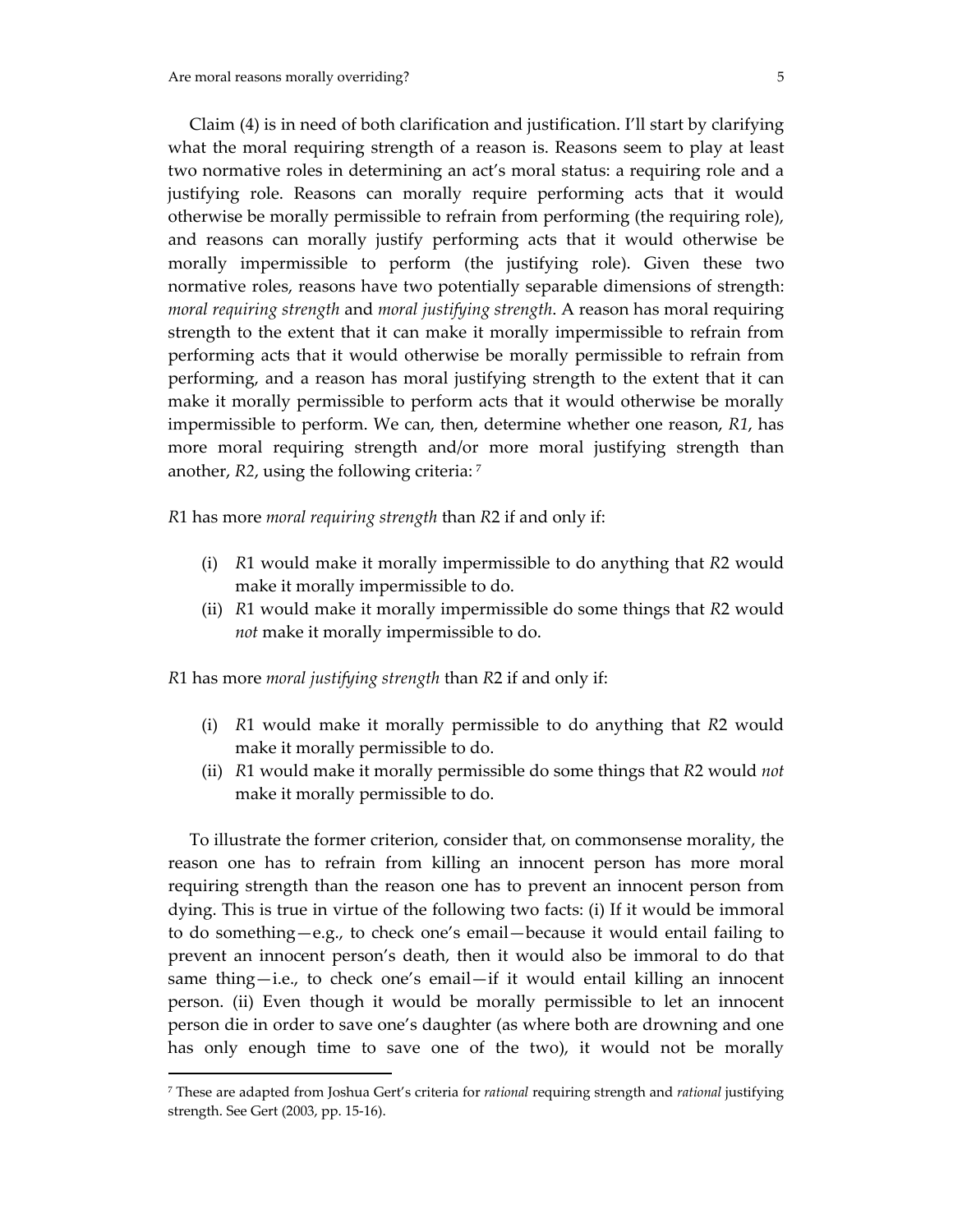Claim (4) is in need of both clarification and justification. I'll start by clarifying what the moral requiring strength of a reason is. Reasons seem to play at least two normative roles in determining an act's moral status: a requiring role and a justifying role. Reasons can morally require performing acts that it would otherwise be morally permissible to refrain from performing (the requiring role), and reasons can morally justify performing acts that it would otherwise be morally impermissible to perform (the justifying role). Given these two normative roles, reasons have two potentially separable dimensions of strength: *moral requiring strength* and *moral justifying strength*. A reason has moral requiring strength to the extent that it can make it morally impermissible to refrain from performing acts that it would otherwise be morally permissible to refrain from performing, and a reason has moral justifying strength to the extent that it can make it morally permissible to perform acts that it would otherwise be morally impermissible to perform. We can, then, determine whether one reason, *R1*, has more moral requiring strength and/or more moral justifying strength than another, *R2*, using the following criteria: [7](#page-4-0)

*R*1 has more *moral requiring strength* than *R*2 if and only if:

- (i) *R*1 would make it morally impermissible to do anything that *R*2 would make it morally impermissible to do.
- (ii) *R*1 would make it morally impermissible do some things that *R*2 would *not* make it morally impermissible to do.

*R*1 has more *moral justifying strength* than *R*2 if and only if:

 $\overline{a}$ 

- (i) *R*1 would make it morally permissible to do anything that *R*2 would make it morally permissible to do.
- (ii) *R*1 would make it morally permissible do some things that *R*2 would *not* make it morally permissible to do.

 To illustrate the former criterion, consider that, on commonsense morality, the reason one has to refrain from killing an innocent person has more moral requiring strength than the reason one has to prevent an innocent person from dying. This is true in virtue of the following two facts: (i) If it would be immoral to do something—e.g., to check one's email—because it would entail failing to prevent an innocent person's death, then it would also be immoral to do that same thing—i.e., to check one's email—if it would entail killing an innocent person. (ii) Even though it would be morally permissible to let an innocent person die in order to save one's daughter (as where both are drowning and one has only enough time to save one of the two), it would not be morally

<span id="page-4-0"></span><sup>7</sup> These are adapted from Joshua Gert's criteria for *rational* requiring strength and *rational* justifying strength. See Gert (2003, pp. 15‐16).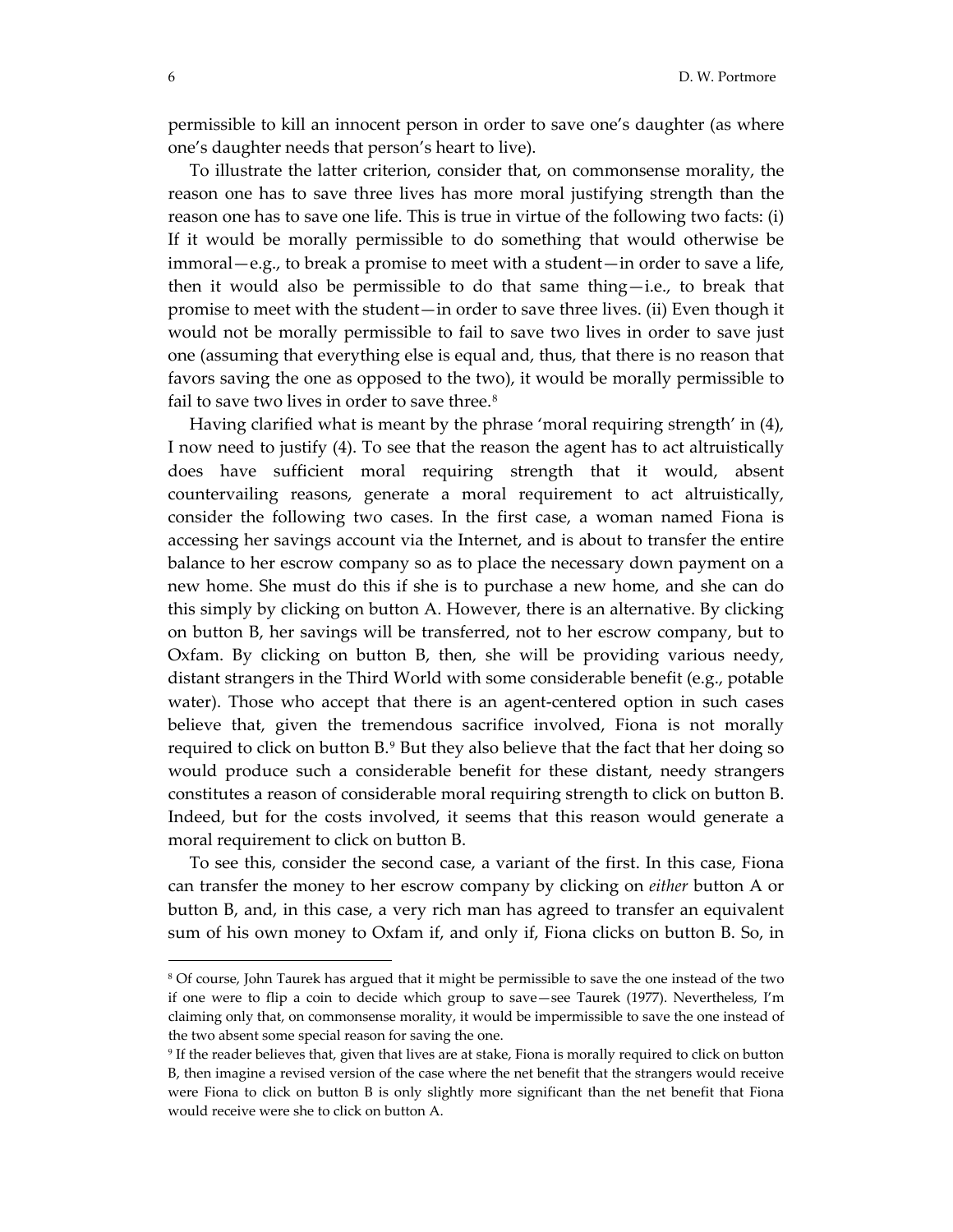permissible to kill an innocent person in order to save one's daughter (as where one's daughter needs that person's heart to live).

 To illustrate the latter criterion, consider that, on commonsense morality, the reason one has to save three lives has more moral justifying strength than the reason one has to save one life. This is true in virtue of the following two facts: (i) If it would be morally permissible to do something that would otherwise be immoral—e.g., to break a promise to meet with a student—in order to save a life, then it would also be permissible to do that same thing $-i.e.,$  to break that promise to meet with the student—in order to save three lives. (ii) Even though it would not be morally permissible to fail to save two lives in order to save just one (assuming that everything else is equal and, thus, that there is no reason that favors saving the one as opposed to the two), it would be morally permissible to fail to save two lives in order to save three.<sup>[8](#page-5-0)</sup>

 Having clarified what is meant by the phrase 'moral requiring strength' in (4), I now need to justify (4). To see that the reason the agent has to act altruistically does have sufficient moral requiring strength that it would, absent countervailing reasons, generate a moral requirement to act altruistically, consider the following two cases. In the first case, a woman named Fiona is accessing her savings account via the Internet, and is about to transfer the entire balance to her escrow company so as to place the necessary down payment on a new home. She must do this if she is to purchase a new home, and she can do this simply by clicking on button A. However, there is an alternative. By clicking on button B, her savings will be transferred, not to her escrow company, but to Oxfam. By clicking on button B, then, she will be providing various needy, distant strangers in the Third World with some considerable benefit (e.g., potable water). Those who accept that there is an agent-centered option in such cases believe that, given the tremendous sacrifice involved, Fiona is not morally required to click on button B.[9](#page-5-1) But they also believe that the fact that her doing so would produce such a considerable benefit for these distant, needy strangers constitutes a reason of considerable moral requiring strength to click on button B. Indeed, but for the costs involved, it seems that this reason would generate a moral requirement to click on button B.

 To see this, consider the second case, a variant of the first. In this case, Fiona can transfer the money to her escrow company by clicking on *either* button A or button B, and, in this case, a very rich man has agreed to transfer an equivalent sum of his own money to Oxfam if, and only if, Fiona clicks on button B. So, in

<span id="page-5-0"></span><sup>8</sup> Of course, John Taurek has argued that it might be permissible to save the one instead of the two if one were to flip a coin to decide which group to save—see Taurek (1977). Nevertheless, I'm claiming only that, on commonsense morality, it would be impermissible to save the one instead of the two absent some special reason for saving the one.

<span id="page-5-1"></span><sup>9</sup> If the reader believes that, given that lives are at stake, Fiona is morally required to click on button B, then imagine a revised version of the case where the net benefit that the strangers would receive were Fiona to click on button B is only slightly more significant than the net benefit that Fiona would receive were she to click on button A.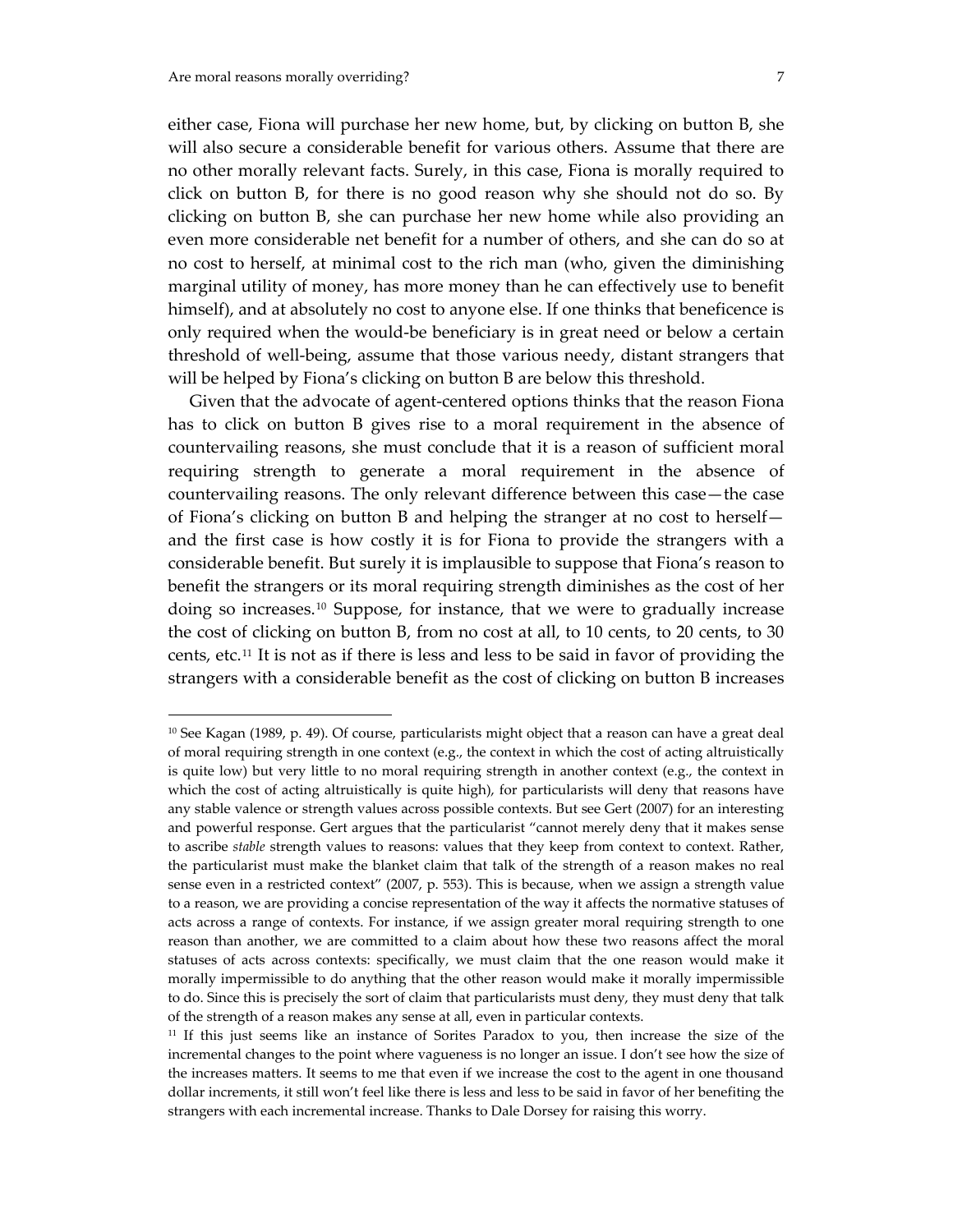$\overline{a}$ 

either case, Fiona will purchase her new home, but, by clicking on button B, she will also secure a considerable benefit for various others. Assume that there are no other morally relevant facts. Surely, in this case, Fiona is morally required to click on button B, for there is no good reason why she should not do so. By clicking on button B, she can purchase her new home while also providing an even more considerable net benefit for a number of others, and she can do so at no cost to herself, at minimal cost to the rich man (who, given the diminishing marginal utility of money, has more money than he can effectively use to benefit himself), and at absolutely no cost to anyone else. If one thinks that beneficence is only required when the would‐be beneficiary is in great need or below a certain threshold of well-being, assume that those various needy, distant strangers that will be helped by Fiona's clicking on button B are below this threshold.

 Given that the advocate of agent‐centered options thinks that the reason Fiona has to click on button B gives rise to a moral requirement in the absence of countervailing reasons, she must conclude that it is a reason of sufficient moral requiring strength to generate a moral requirement in the absence of countervailing reasons. The only relevant difference between this case—the case of Fiona's clicking on button B and helping the stranger at no cost to herself and the first case is how costly it is for Fiona to provide the strangers with a considerable benefit. But surely it is implausible to suppose that Fiona's reason to benefit the strangers or its moral requiring strength diminishes as the cost of her doing so increases.[10](#page-6-0) Suppose, for instance, that we were to gradually increase the cost of clicking on button B, from no cost at all, to 10 cents, to 20 cents, to 30 cents, etc.[11](#page-6-1) It is not as if there is less and less to be said in favor of providing the strangers with a considerable benefit as the cost of clicking on button B increases

<span id="page-6-0"></span><sup>10</sup> See Kagan (1989, p. 49). Of course, particularists might object that a reason can have a great deal of moral requiring strength in one context (e.g., the context in which the cost of acting altruistically is quite low) but very little to no moral requiring strength in another context (e.g., the context in which the cost of acting altruistically is quite high), for particularists will deny that reasons have any stable valence or strength values across possible contexts. But see Gert (2007) for an interesting and powerful response. Gert argues that the particularist "cannot merely deny that it makes sense to ascribe *stable* strength values to reasons: values that they keep from context to context. Rather, the particularist must make the blanket claim that talk of the strength of a reason makes no real sense even in a restricted context" (2007, p. 553). This is because, when we assign a strength value to a reason, we are providing a concise representation of the way it affects the normative statuses of acts across a range of contexts. For instance, if we assign greater moral requiring strength to one reason than another, we are committed to a claim about how these two reasons affect the moral statuses of acts across contexts: specifically, we must claim that the one reason would make it morally impermissible to do anything that the other reason would make it morally impermissible to do. Since this is precisely the sort of claim that particularists must deny, they must deny that talk of the strength of a reason makes any sense at all, even in particular contexts.

<span id="page-6-1"></span><sup>&</sup>lt;sup>11</sup> If this just seems like an instance of Sorites Paradox to you, then increase the size of the incremental changes to the point where vagueness is no longer an issue. I don't see how the size of the increases matters. It seems to me that even if we increase the cost to the agent in one thousand dollar increments, it still won't feel like there is less and less to be said in favor of her benefiting the strangers with each incremental increase. Thanks to Dale Dorsey for raising this worry.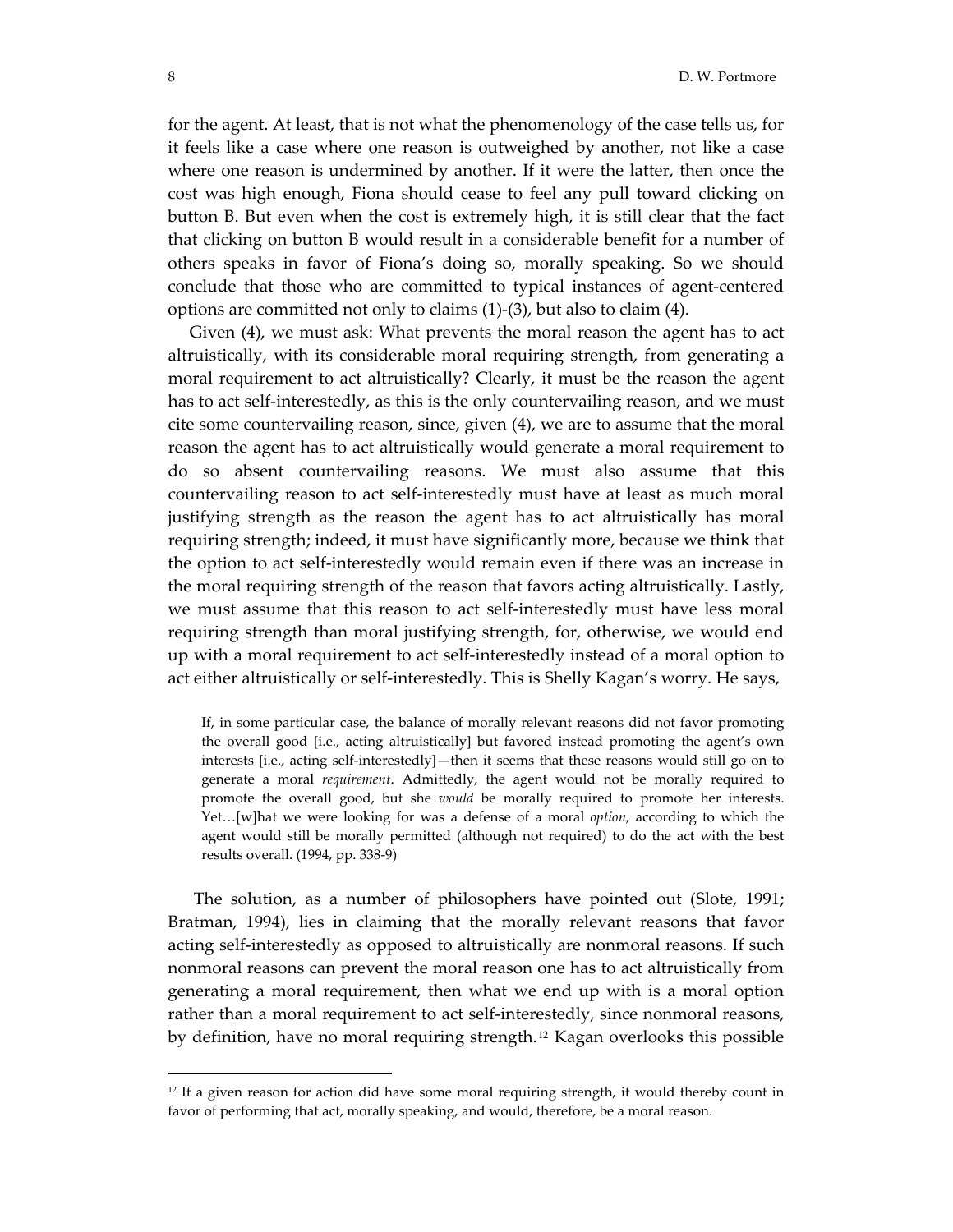for the agent. At least, that is not what the phenomenology of the case tells us, for it feels like a case where one reason is outweighed by another, not like a case where one reason is undermined by another. If it were the latter, then once the cost was high enough, Fiona should cease to feel any pull toward clicking on button B. But even when the cost is extremely high, it is still clear that the fact that clicking on button B would result in a considerable benefit for a number of others speaks in favor of Fiona's doing so, morally speaking. So we should conclude that those who are committed to typical instances of agent‐centered options are committed not only to claims (1)‐(3), but also to claim (4).

 Given (4), we must ask: What prevents the moral reason the agent has to act altruistically, with its considerable moral requiring strength, from generating a moral requirement to act altruistically? Clearly, it must be the reason the agent has to act self-interestedly, as this is the only countervailing reason, and we must cite some countervailing reason, since, given (4), we are to assume that the moral reason the agent has to act altruistically would generate a moral requirement to do so absent countervailing reasons. We must also assume that this countervailing reason to act self‐interestedly must have at least as much moral justifying strength as the reason the agent has to act altruistically has moral requiring strength; indeed, it must have significantly more, because we think that the option to act self‐interestedly would remain even if there was an increase in the moral requiring strength of the reason that favors acting altruistically. Lastly, we must assume that this reason to act self‐interestedly must have less moral requiring strength than moral justifying strength, for, otherwise, we would end up with a moral requirement to act self‐interestedly instead of a moral option to act either altruistically or self‐interestedly. This is Shelly Kagan's worry. He says,

If, in some particular case, the balance of morally relevant reasons did not favor promoting the overall good [i.e., acting altruistically] but favored instead promoting the agent's own interests [i.e., acting self-interestedly]—then it seems that these reasons would still go on to generate a moral *requirement*. Admittedly, the agent would not be morally required to promote the overall good, but she *would* be morally required to promote her interests. Yet…[w]hat we were looking for was a defense of a moral *option*, according to which the agent would still be morally permitted (although not required) to do the act with the best results overall. (1994, pp. 338‐9)

 The solution, as a number of philosophers have pointed out (Slote, 1991; Bratman, 1994), lies in claiming that the morally relevant reasons that favor acting self‐interestedly as opposed to altruistically are nonmoral reasons. If such nonmoral reasons can prevent the moral reason one has to act altruistically from generating a moral requirement, then what we end up with is a moral option rather than a moral requirement to act self-interestedly, since nonmoral reasons, by definition, have no moral requiring strength.[12](#page-7-0) Kagan overlooks this possible

<span id="page-7-0"></span><sup>&</sup>lt;sup>12</sup> If a given reason for action did have some moral requiring strength, it would thereby count in favor of performing that act, morally speaking, and would, therefore, be a moral reason.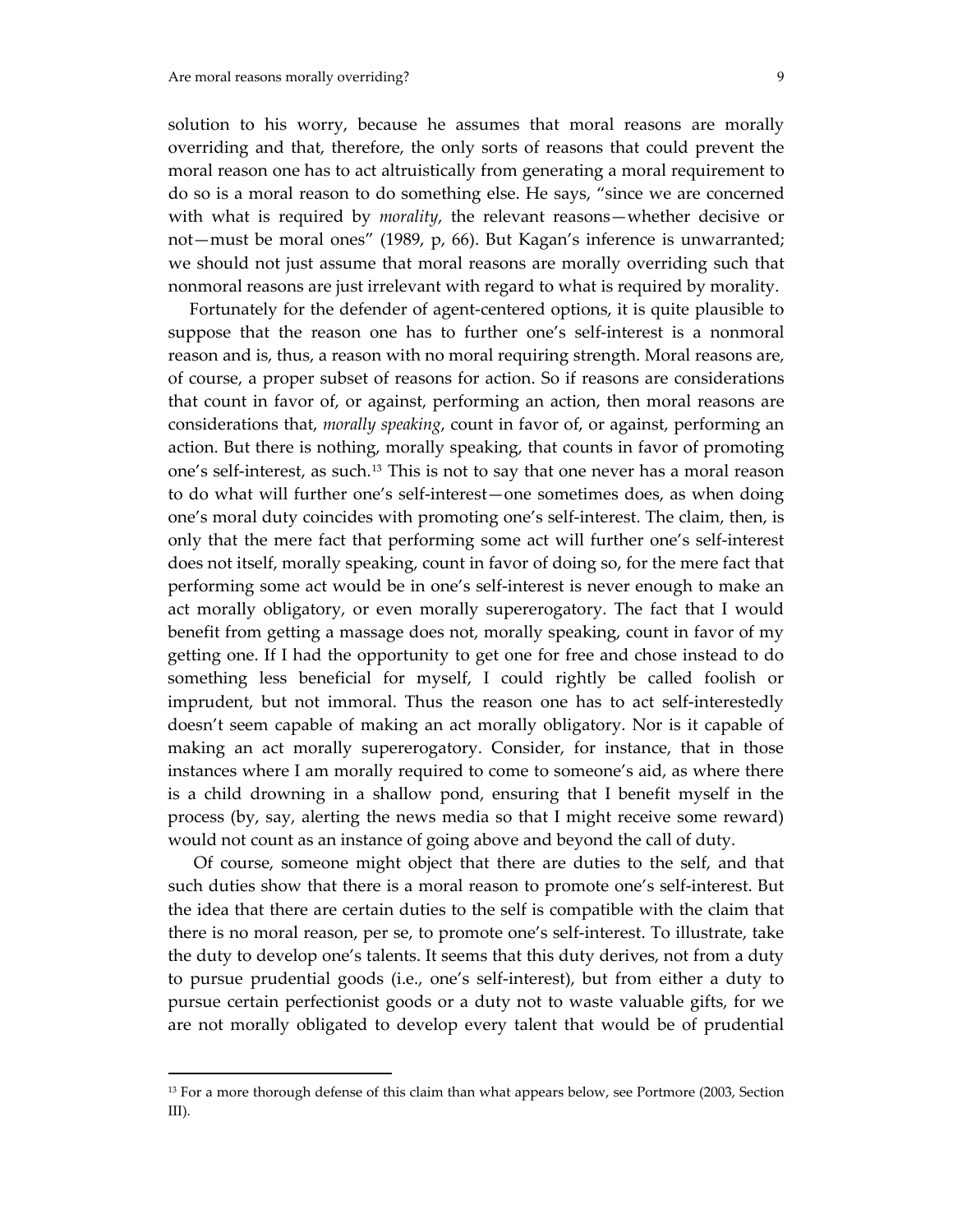solution to his worry, because he assumes that moral reasons are morally overriding and that, therefore, the only sorts of reasons that could prevent the moral reason one has to act altruistically from generating a moral requirement to do so is a moral reason to do something else. He says, "since we are concerned with what is required by *morality*, the relevant reasons—whether decisive or not—must be moral ones" (1989, p, 66). But Kagan's inference is unwarranted; we should not just assume that moral reasons are morally overriding such that nonmoral reasons are just irrelevant with regard to what is required by morality.

Fortunately for the defender of agent-centered options, it is quite plausible to suppose that the reason one has to further one's self-interest is a nonmoral reason and is, thus, a reason with no moral requiring strength. Moral reasons are, of course, a proper subset of reasons for action. So if reasons are considerations that count in favor of, or against, performing an action, then moral reasons are considerations that, *morally speaking*, count in favor of, or against, performing an action. But there is nothing, morally speaking, that counts in favor of promoting one's self‐interest, as such.[13](#page-8-0) This is not to say that one never has a moral reason to do what will further one's self‐interest—one sometimes does, as when doing one's moral duty coincides with promoting one's self‐interest. The claim, then, is only that the mere fact that performing some act will further one's self‐interest does not itself, morally speaking, count in favor of doing so, for the mere fact that performing some act would be in one's self‐interest is never enough to make an act morally obligatory, or even morally supererogatory. The fact that I would benefit from getting a massage does not, morally speaking, count in favor of my getting one. If I had the opportunity to get one for free and chose instead to do something less beneficial for myself, I could rightly be called foolish or imprudent, but not immoral. Thus the reason one has to act self-interestedly doesn't seem capable of making an act morally obligatory. Nor is it capable of making an act morally supererogatory. Consider, for instance, that in those instances where I am morally required to come to someone's aid, as where there is a child drowning in a shallow pond, ensuring that I benefit myself in the process (by, say, alerting the news media so that I might receive some reward) would not count as an instance of going above and beyond the call of duty.

 Of course, someone might object that there are duties to the self, and that such duties show that there is a moral reason to promote one's self-interest. But the idea that there are certain duties to the self is compatible with the claim that there is no moral reason, per se, to promote one's self‐interest. To illustrate, take the duty to develop one's talents. It seems that this duty derives, not from a duty to pursue prudential goods (i.e., one's self‐interest), but from either a duty to pursue certain perfectionist goods or a duty not to waste valuable gifts, for we are not morally obligated to develop every talent that would be of prudential

<span id="page-8-0"></span><sup>&</sup>lt;sup>13</sup> For a more thorough defense of this claim than what appears below, see Portmore (2003, Section III).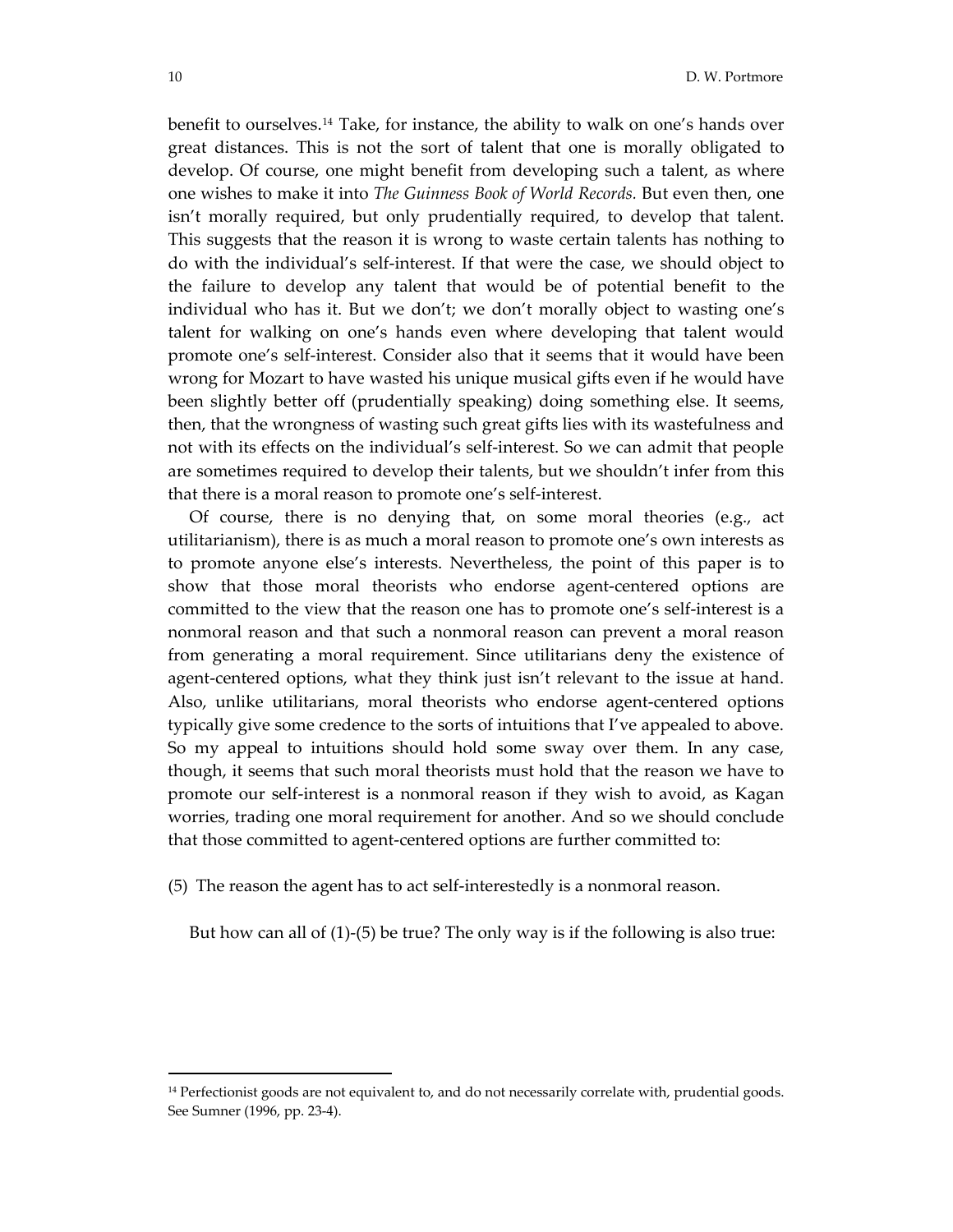benefit to ourselves.[14](#page-9-0) Take, for instance, the ability to walk on one's hands over great distances. This is not the sort of talent that one is morally obligated to develop. Of course, one might benefit from developing such a talent, as where one wishes to make it into *The Guinness Book of World Records.* But even then, one isn't morally required, but only prudentially required, to develop that talent. This suggests that the reason it is wrong to waste certain talents has nothing to do with the individual's self‐interest. If that were the case, we should object to the failure to develop any talent that would be of potential benefit to the individual who has it. But we don't; we don't morally object to wasting one's talent for walking on one's hands even where developing that talent would promote one's self‐interest. Consider also that it seems that it would have been wrong for Mozart to have wasted his unique musical gifts even if he would have been slightly better off (prudentially speaking) doing something else. It seems, then, that the wrongness of wasting such great gifts lies with its wastefulness and not with its effects on the individual's self‐interest. So we can admit that people are sometimes required to develop their talents, but we shouldn't infer from this that there is a moral reason to promote one's self‐interest.

Of course, there is no denying that, on some moral theories (e.g., act utilitarianism), there is as much a moral reason to promote one's own interests as to promote anyone else's interests. Nevertheless, the point of this paper is to show that those moral theorists who endorse agent-centered options are committed to the view that the reason one has to promote one's self-interest is a nonmoral reason and that such a nonmoral reason can prevent a moral reason from generating a moral requirement. Since utilitarians deny the existence of agent-centered options, what they think just isn't relevant to the issue at hand. Also, unlike utilitarians, moral theorists who endorse agent‐centered options typically give some credence to the sorts of intuitions that I've appealed to above. So my appeal to intuitions should hold some sway over them. In any case, though, it seems that such moral theorists must hold that the reason we have to promote our self‐interest is a nonmoral reason if they wish to avoid, as Kagan worries, trading one moral requirement for another. And so we should conclude that those committed to agent‐centered options are further committed to:

(5) The reason the agent has to act self‐interestedly is a nonmoral reason.

But how can all of (1)-(5) be true? The only way is if the following is also true:

<span id="page-9-0"></span><sup>&</sup>lt;sup>14</sup> Perfectionist goods are not equivalent to, and do not necessarily correlate with, prudential goods. See Sumner (1996, pp. 23‐4).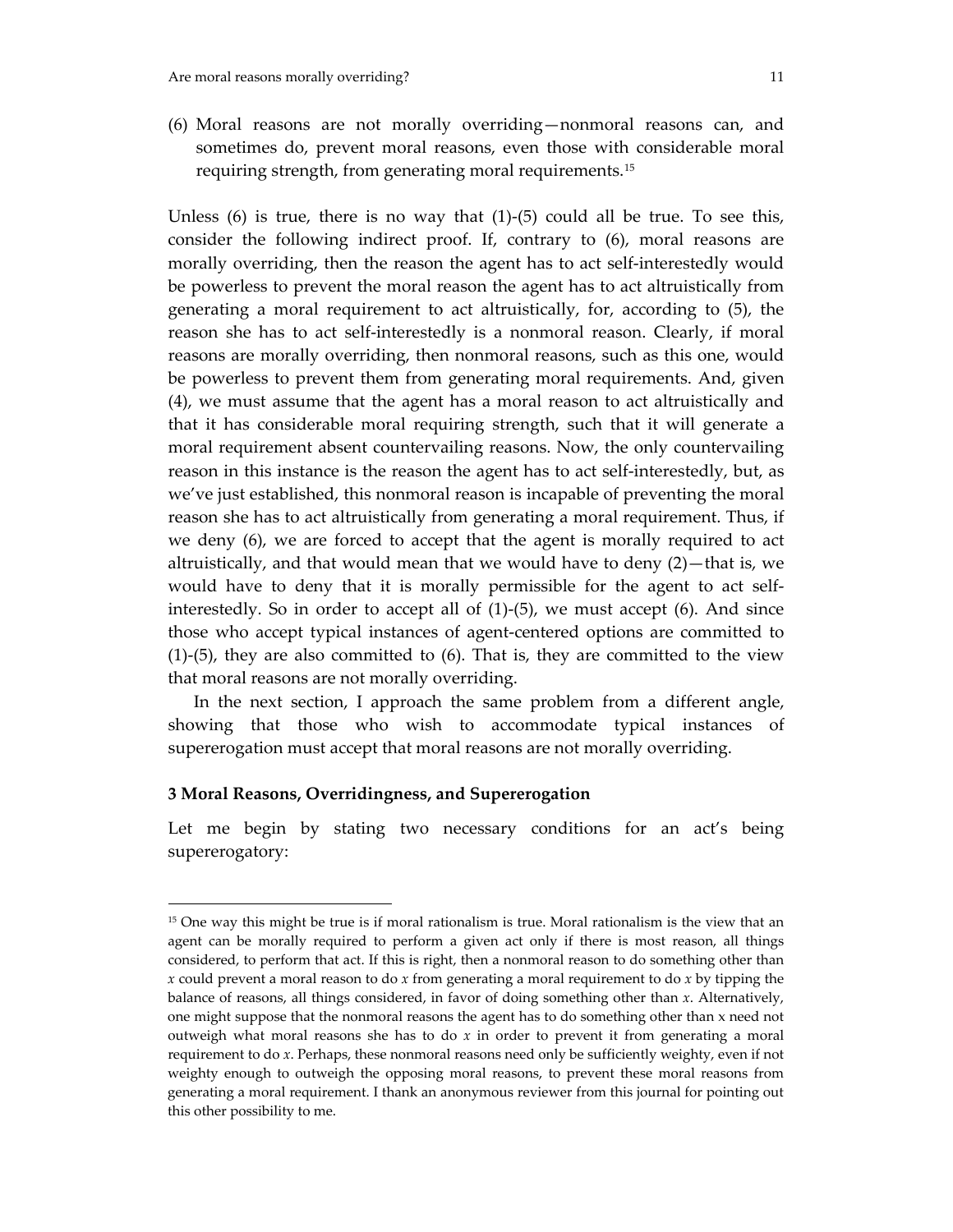(6) Moral reasons are not morally overriding—nonmoral reasons can, and sometimes do, prevent moral reasons, even those with considerable moral requiring strength, from generating moral requirements.[15](#page-10-0)

Unless  $(6)$  is true, there is no way that  $(1)-(5)$  could all be true. To see this, consider the following indirect proof. If, contrary to (6), moral reasons are morally overriding, then the reason the agent has to act self‐interestedly would be powerless to prevent the moral reason the agent has to act altruistically from generating a moral requirement to act altruistically, for, according to (5), the reason she has to act self-interestedly is a nonmoral reason. Clearly, if moral reasons are morally overriding, then nonmoral reasons, such as this one, would be powerless to prevent them from generating moral requirements. And, given (4), we must assume that the agent has a moral reason to act altruistically and that it has considerable moral requiring strength, such that it will generate a moral requirement absent countervailing reasons. Now, the only countervailing reason in this instance is the reason the agent has to act self-interestedly, but, as we've just established, this nonmoral reason is incapable of preventing the moral reason she has to act altruistically from generating a moral requirement. Thus, if we deny (6), we are forced to accept that the agent is morally required to act altruistically, and that would mean that we would have to deny (2)—that is, we would have to deny that it is morally permissible for the agent to act self‐ interestedly. So in order to accept all of  $(1)-(5)$ , we must accept  $(6)$ . And since those who accept typical instances of agent‐centered options are committed to  $(1)-(5)$ , they are also committed to  $(6)$ . That is, they are committed to the view that moral reasons are not morally overriding.

 In the next section, I approach the same problem from a different angle, showing that those who wish to accommodate typical instances of supererogation must accept that moral reasons are not morally overriding.

### **3 Moral Reasons, Overridingness, and Supererogation**

 $\overline{a}$ 

Let me begin by stating two necessary conditions for an act's being supererogatory:

<span id="page-10-0"></span><sup>&</sup>lt;sup>15</sup> One way this might be true is if moral rationalism is true. Moral rationalism is the view that an agent can be morally required to perform a given act only if there is most reason, all things considered, to perform that act. If this is right, then a nonmoral reason to do something other than *x* could prevent a moral reason to do *x* from generating a moral requirement to do *x* by tipping the balance of reasons, all things considered, in favor of doing something other than *x*. Alternatively, one might suppose that the nonmoral reasons the agent has to do something other than x need not outweigh what moral reasons she has to do *x* in order to prevent it from generating a moral requirement to do *x*. Perhaps, these nonmoral reasons need only be sufficiently weighty, even if not weighty enough to outweigh the opposing moral reasons, to prevent these moral reasons from generating a moral requirement. I thank an anonymous reviewer from this journal for pointing out this other possibility to me.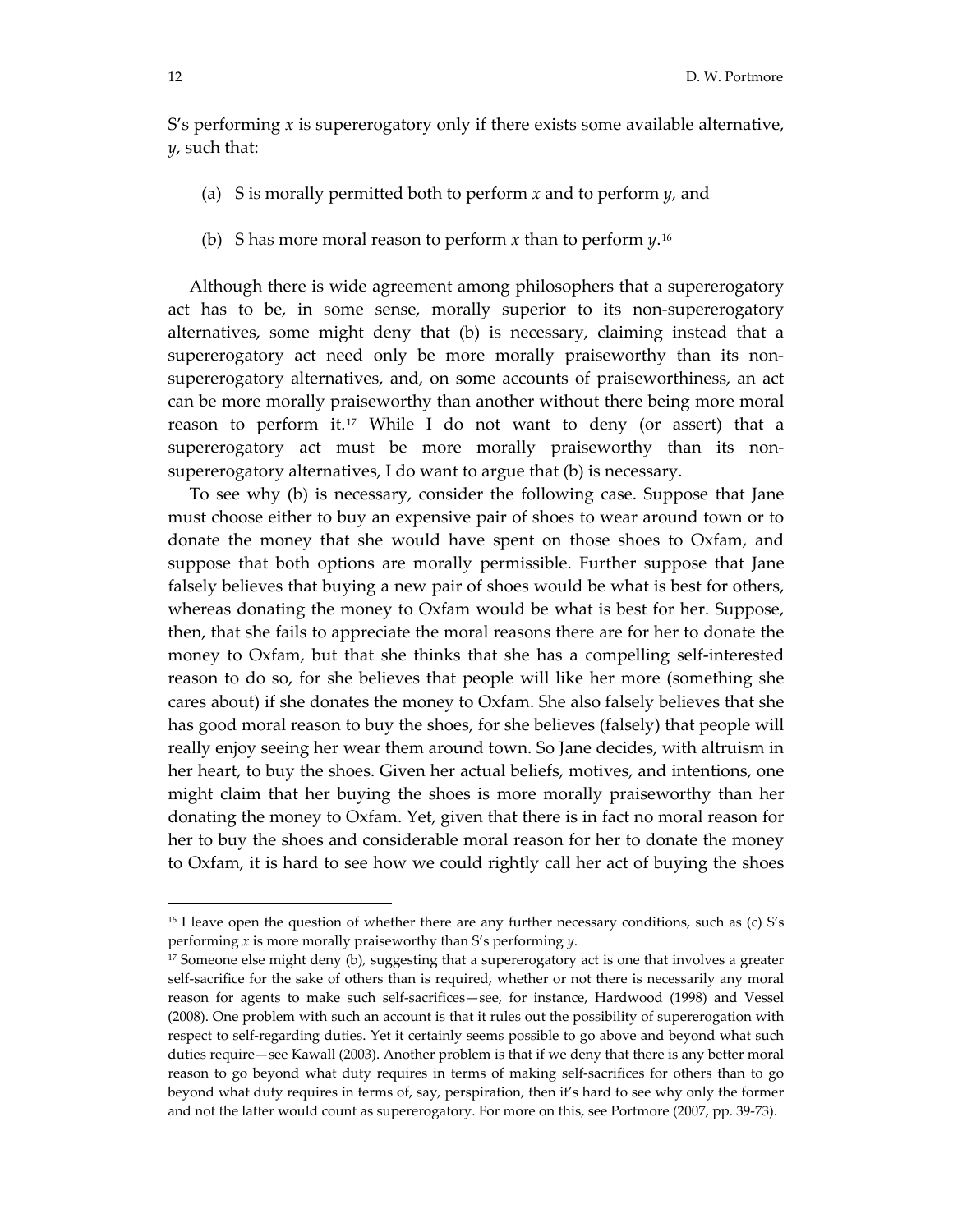S's performing *x* is supererogatory only if there exists some available alternative, *y,* such that:

- (a) S is morally permitted both to perform *x* and to perform *y,* and
- (b) S has more moral reason to perform *x* than to perform  $\psi$ <sup>[16](#page-11-0)</sup>

 Although there is wide agreement among philosophers that a supererogatory act has to be, in some sense, morally superior to its non-supererogatory alternatives, some might deny that (b) is necessary, claiming instead that a supererogatory act need only be more morally praiseworthy than its nonsupererogatory alternatives, and, on some accounts of praiseworthiness, an act can be more morally praiseworthy than another without there being more moral reason to perform it.[17](#page-11-1) While I do not want to deny (or assert) that a supererogatory act must be more morally praiseworthy than its nonsupererogatory alternatives, I do want to argue that (b) is necessary.

 To see why (b) is necessary, consider the following case. Suppose that Jane must choose either to buy an expensive pair of shoes to wear around town or to donate the money that she would have spent on those shoes to Oxfam, and suppose that both options are morally permissible. Further suppose that Jane falsely believes that buying a new pair of shoes would be what is best for others, whereas donating the money to Oxfam would be what is best for her. Suppose, then, that she fails to appreciate the moral reasons there are for her to donate the money to Oxfam, but that she thinks that she has a compelling self-interested reason to do so, for she believes that people will like her more (something she cares about) if she donates the money to Oxfam. She also falsely believes that she has good moral reason to buy the shoes, for she believes (falsely) that people will really enjoy seeing her wear them around town. So Jane decides, with altruism in her heart, to buy the shoes. Given her actual beliefs, motives, and intentions, one might claim that her buying the shoes is more morally praiseworthy than her donating the money to Oxfam. Yet, given that there is in fact no moral reason for her to buy the shoes and considerable moral reason for her to donate the money to Oxfam, it is hard to see how we could rightly call her act of buying the shoes

<span id="page-11-0"></span><sup>&</sup>lt;sup>16</sup> I leave open the question of whether there are any further necessary conditions, such as (c) S's performing *x* is more morally praiseworthy than S's performing *y*.

<span id="page-11-1"></span><sup>17</sup> Someone else might deny (b)*,* suggesting that a supererogatory act is one that involves a greater self-sacrifice for the sake of others than is required, whether or not there is necessarily any moral reason for agents to make such self‐sacrifices—see, for instance, Hardwood (1998) and Vessel (2008). One problem with such an account is that it rules out the possibility of supererogation with respect to self‐regarding duties. Yet it certainly seems possible to go above and beyond what such duties require—see Kawall (2003). Another problem is that if we deny that there is any better moral reason to go beyond what duty requires in terms of making self-sacrifices for others than to go beyond what duty requires in terms of, say, perspiration, then it's hard to see why only the former and not the latter would count as supererogatory. For more on this, see Portmore (2007, pp. 39‐73).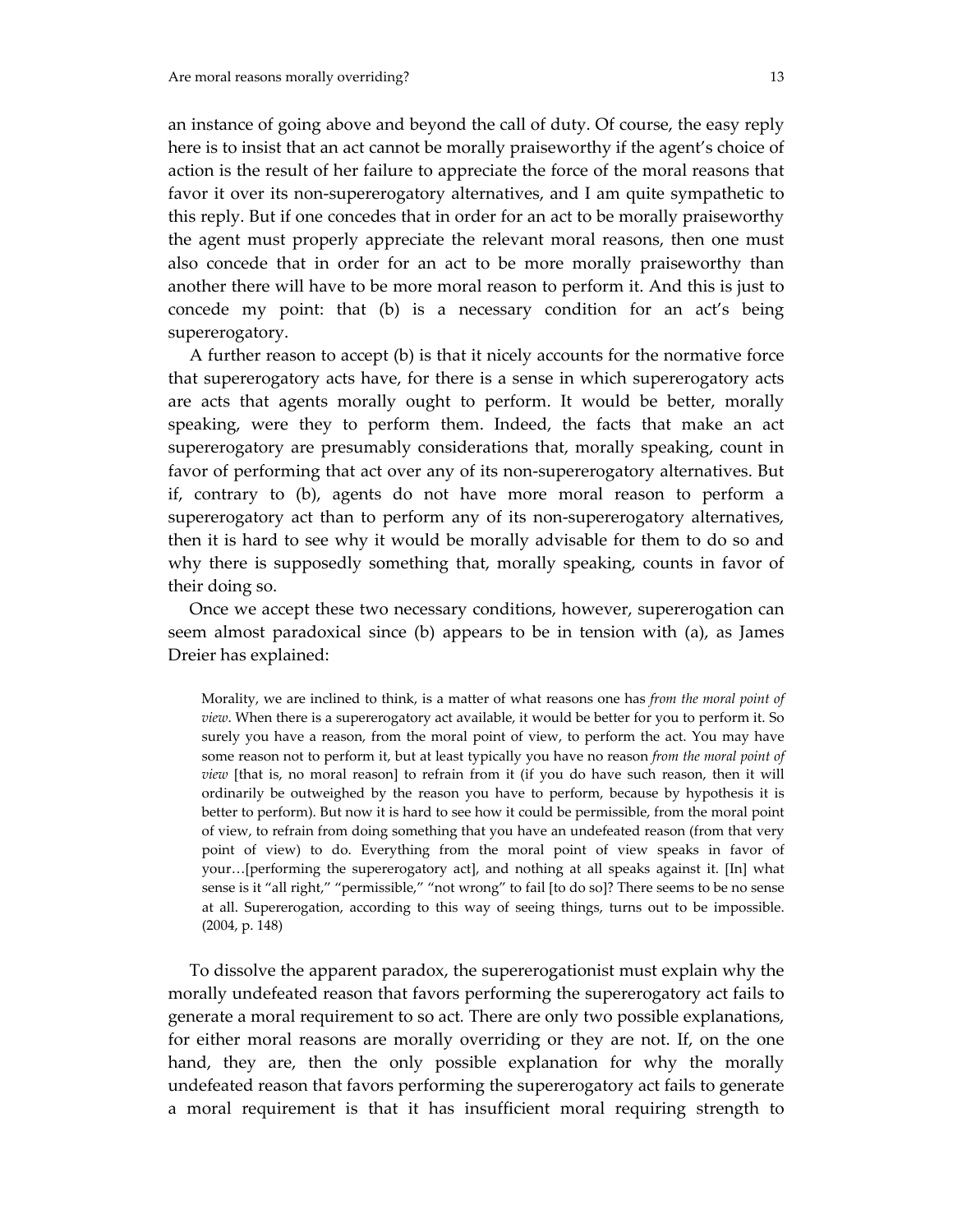an instance of going above and beyond the call of duty. Of course, the easy reply here is to insist that an act cannot be morally praiseworthy if the agent's choice of action is the result of her failure to appreciate the force of the moral reasons that favor it over its non‐supererogatory alternatives, and I am quite sympathetic to this reply. But if one concedes that in order for an act to be morally praiseworthy the agent must properly appreciate the relevant moral reasons, then one must also concede that in order for an act to be more morally praiseworthy than another there will have to be more moral reason to perform it. And this is just to concede my point: that (b) is a necessary condition for an act's being supererogatory.

 A further reason to accept (b) is that it nicely accounts for the normative force that supererogatory acts have, for there is a sense in which supererogatory acts are acts that agents morally ought to perform. It would be better, morally speaking, were they to perform them. Indeed, the facts that make an act supererogatory are presumably considerations that, morally speaking, count in favor of performing that act over any of its non-supererogatory alternatives. But if, contrary to (b), agents do not have more moral reason to perform a supererogatory act than to perform any of its non-supererogatory alternatives, then it is hard to see why it would be morally advisable for them to do so and why there is supposedly something that, morally speaking, counts in favor of their doing so.

 Once we accept these two necessary conditions, however, supererogation can seem almost paradoxical since (b) appears to be in tension with (a), as James Dreier has explained:

Morality, we are inclined to think, is a matter of what reasons one has *from the moral point of view*. When there is a supererogatory act available, it would be better for you to perform it. So surely you have a reason, from the moral point of view, to perform the act. You may have some reason not to perform it, but at least typically you have no reason *from the moral point of view* [that is, no moral reason] to refrain from it (if you do have such reason, then it will ordinarily be outweighed by the reason you have to perform, because by hypothesis it is better to perform). But now it is hard to see how it could be permissible, from the moral point of view, to refrain from doing something that you have an undefeated reason (from that very point of view) to do. Everything from the moral point of view speaks in favor of your…[performing the supererogatory act], and nothing at all speaks against it. [In] what sense is it "all right," "permissible," "not wrong" to fail [to do so]? There seems to be no sense at all. Supererogation, according to this way of seeing things, turns out to be impossible. (2004, p. 148)

 To dissolve the apparent paradox, the supererogationist must explain why the morally undefeated reason that favors performing the supererogatory act fails to generate a moral requirement to so act*.* There are only two possible explanations, for either moral reasons are morally overriding or they are not. If, on the one hand, they are, then the only possible explanation for why the morally undefeated reason that favors performing the supererogatory act fails to generate a moral requirement is that it has insufficient moral requiring strength to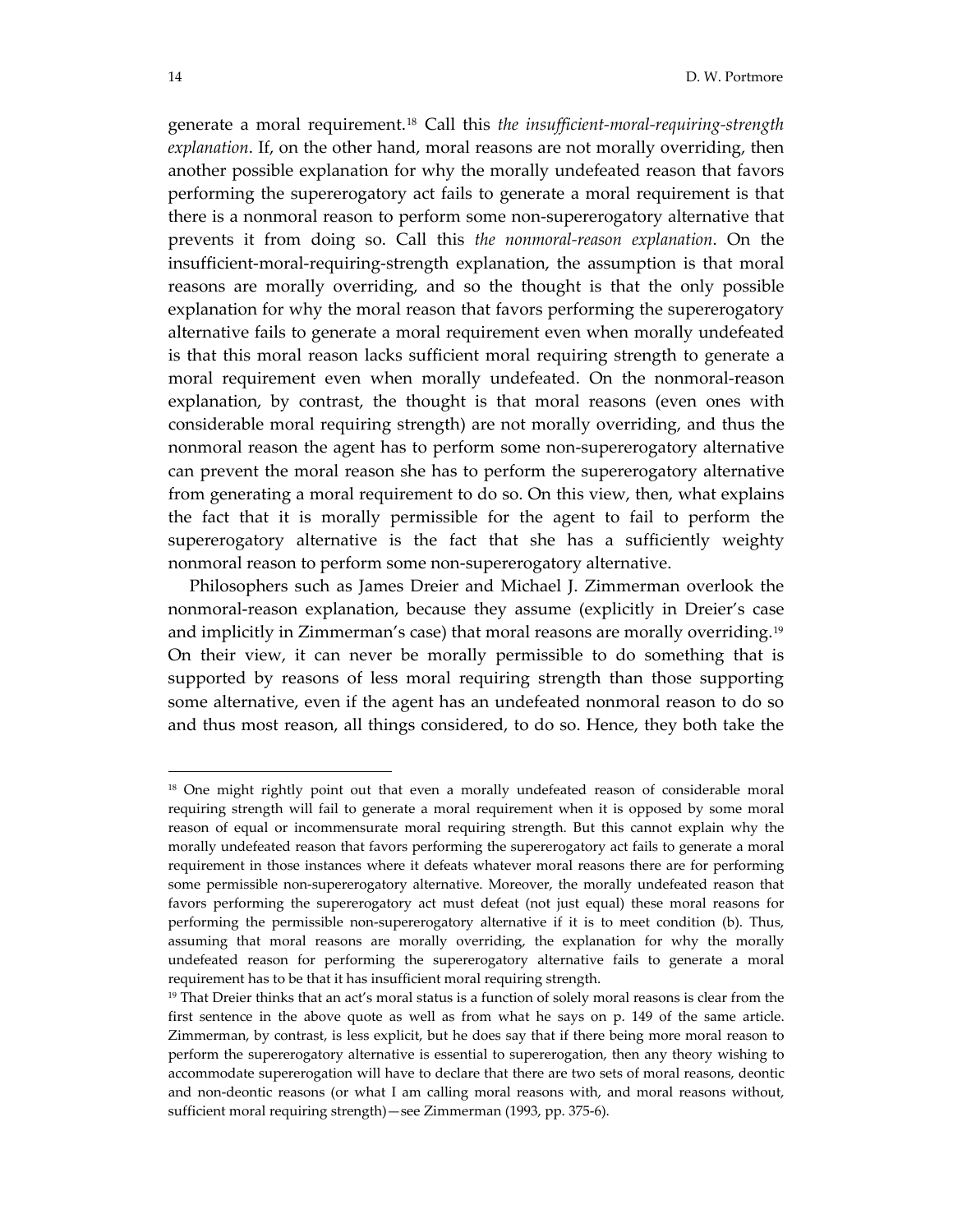generate a moral requirement.[18](#page-13-0) Call this *the insufficient‐moral‐requiring‐strength explanation*. If, on the other hand, moral reasons are not morally overriding, then another possible explanation for why the morally undefeated reason that favors performing the supererogatory act fails to generate a moral requirement is that there is a nonmoral reason to perform some non‐supererogatory alternative that prevents it from doing so. Call this *the nonmoral‐reason explanation*. On the insufficient‐moral‐requiring‐strength explanation, the assumption is that moral reasons are morally overriding, and so the thought is that the only possible explanation for why the moral reason that favors performing the supererogatory alternative fails to generate a moral requirement even when morally undefeated is that this moral reason lacks sufficient moral requiring strength to generate a moral requirement even when morally undefeated. On the nonmoral-reason explanation, by contrast, the thought is that moral reasons (even ones with considerable moral requiring strength) are not morally overriding, and thus the nonmoral reason the agent has to perform some non‐supererogatory alternative can prevent the moral reason she has to perform the supererogatory alternative from generating a moral requirement to do so. On this view, then, what explains the fact that it is morally permissible for the agent to fail to perform the supererogatory alternative is the fact that she has a sufficiently weighty nonmoral reason to perform some non‐supererogatory alternative.

 Philosophers such as James Dreier and Michael J. Zimmerman overlook the nonmoral‐reason explanation, because they assume (explicitly in Dreier's case and implicitly in Zimmerman's case) that moral reasons are morally overriding.<sup>[19](#page-13-1)</sup> On their view, it can never be morally permissible to do something that is supported by reasons of less moral requiring strength than those supporting some alternative, even if the agent has an undefeated nonmoral reason to do so and thus most reason, all things considered, to do so. Hence, they both take the

<span id="page-13-0"></span><sup>&</sup>lt;sup>18</sup> One might rightly point out that even a morally undefeated reason of considerable moral requiring strength will fail to generate a moral requirement when it is opposed by some moral reason of equal or incommensurate moral requiring strength. But this cannot explain why the morally undefeated reason that favors performing the supererogatory act fails to generate a moral requirement in those instances where it defeats whatever moral reasons there are for performing some permissible non-supererogatory alternative. Moreover, the morally undefeated reason that favors performing the supererogatory act must defeat (not just equal) these moral reasons for performing the permissible non-supererogatory alternative if it is to meet condition (b). Thus, assuming that moral reasons are morally overriding, the explanation for why the morally undefeated reason for performing the supererogatory alternative fails to generate a moral requirement has to be that it has insufficient moral requiring strength.

<span id="page-13-1"></span><sup>&</sup>lt;sup>19</sup> That Dreier thinks that an act's moral status is a function of solely moral reasons is clear from the first sentence in the above quote as well as from what he says on p. 149 of the same article. Zimmerman, by contrast, is less explicit, but he does say that if there being more moral reason to perform the supererogatory alternative is essential to supererogation, then any theory wishing to accommodate supererogation will have to declare that there are two sets of moral reasons, deontic and non‐deontic reasons (or what I am calling moral reasons with, and moral reasons without, sufficient moral requiring strength)—see Zimmerman (1993, pp. 375‐6).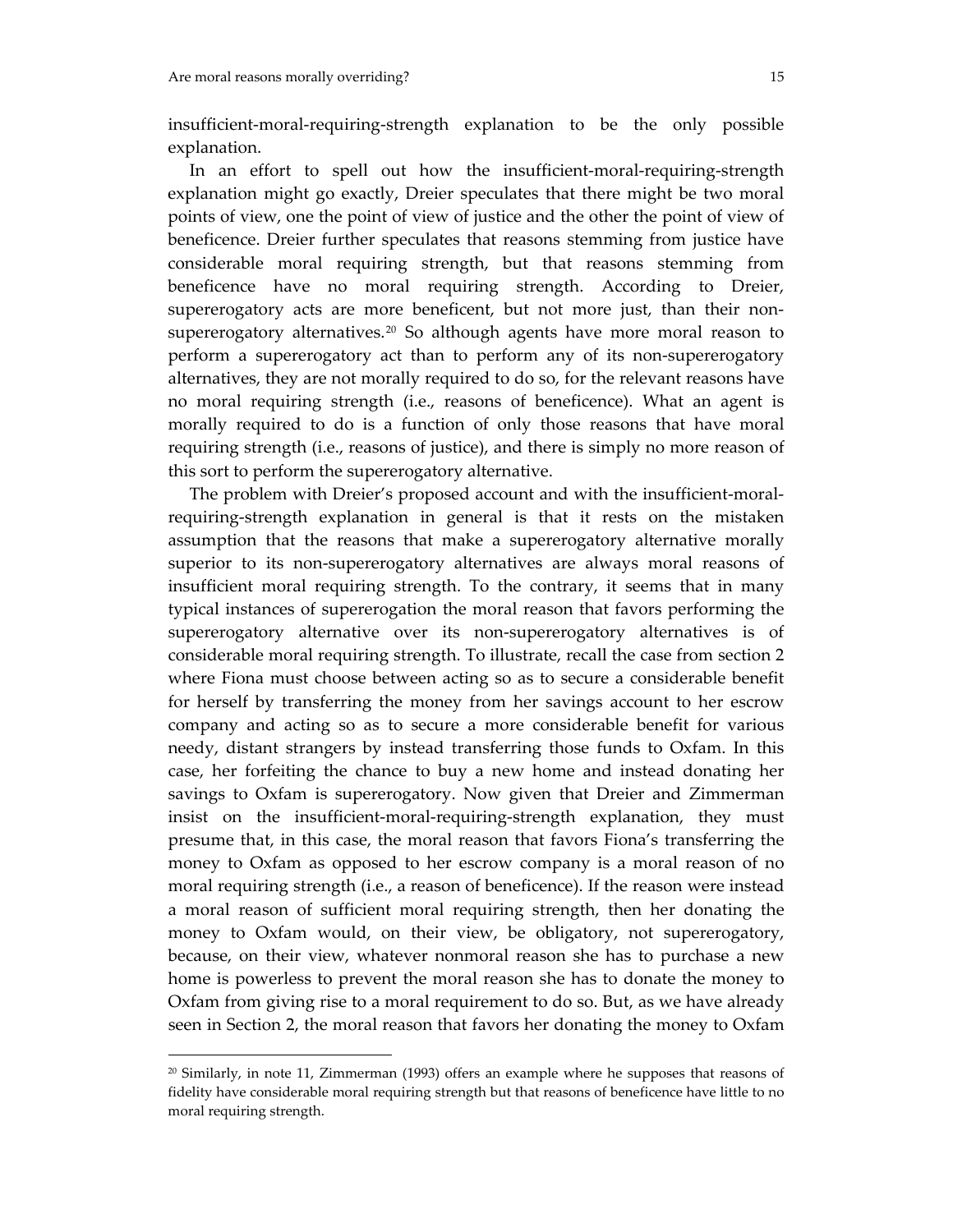insufficient‐moral‐requiring‐strength explanation to be the only possible explanation.

In an effort to spell out how the insufficient-moral-requiring-strength explanation might go exactly, Dreier speculates that there might be two moral points of view, one the point of view of justice and the other the point of view of beneficence. Dreier further speculates that reasons stemming from justice have considerable moral requiring strength, but that reasons stemming from beneficence have no moral requiring strength. According to Dreier, supererogatory acts are more beneficent, but not more just, than their non-supererogatory alternatives.<sup>[20](#page-14-0)</sup> So although agents have more moral reason to perform a supererogatory act than to perform any of its non‐supererogatory alternatives, they are not morally required to do so, for the relevant reasons have no moral requiring strength (i.e., reasons of beneficence). What an agent is morally required to do is a function of only those reasons that have moral requiring strength (i.e., reasons of justice), and there is simply no more reason of this sort to perform the supererogatory alternative.

The problem with Dreier's proposed account and with the insufficient-moralrequiring‐strength explanation in general is that it rests on the mistaken assumption that the reasons that make a supererogatory alternative morally superior to its non-supererogatory alternatives are always moral reasons of insufficient moral requiring strength. To the contrary, it seems that in many typical instances of supererogation the moral reason that favors performing the supererogatory alternative over its non-supererogatory alternatives is of considerable moral requiring strength. To illustrate, recall the case from section 2 where Fiona must choose between acting so as to secure a considerable benefit for herself by transferring the money from her savings account to her escrow company and acting so as to secure a more considerable benefit for various needy, distant strangers by instead transferring those funds to Oxfam. In this case, her forfeiting the chance to buy a new home and instead donating her savings to Oxfam is supererogatory. Now given that Dreier and Zimmerman insist on the insufficient‐moral‐requiring‐strength explanation, they must presume that, in this case, the moral reason that favors Fiona's transferring the money to Oxfam as opposed to her escrow company is a moral reason of no moral requiring strength (i.e., a reason of beneficence). If the reason were instead a moral reason of sufficient moral requiring strength, then her donating the money to Oxfam would, on their view, be obligatory, not supererogatory, because, on their view, whatever nonmoral reason she has to purchase a new home is powerless to prevent the moral reason she has to donate the money to Oxfam from giving rise to a moral requirement to do so. But, as we have already seen in Section 2, the moral reason that favors her donating the money to Oxfam

<span id="page-14-0"></span> $20$  Similarly, in note 11, Zimmerman (1993) offers an example where he supposes that reasons of fidelity have considerable moral requiring strength but that reasons of beneficence have little to no moral requiring strength.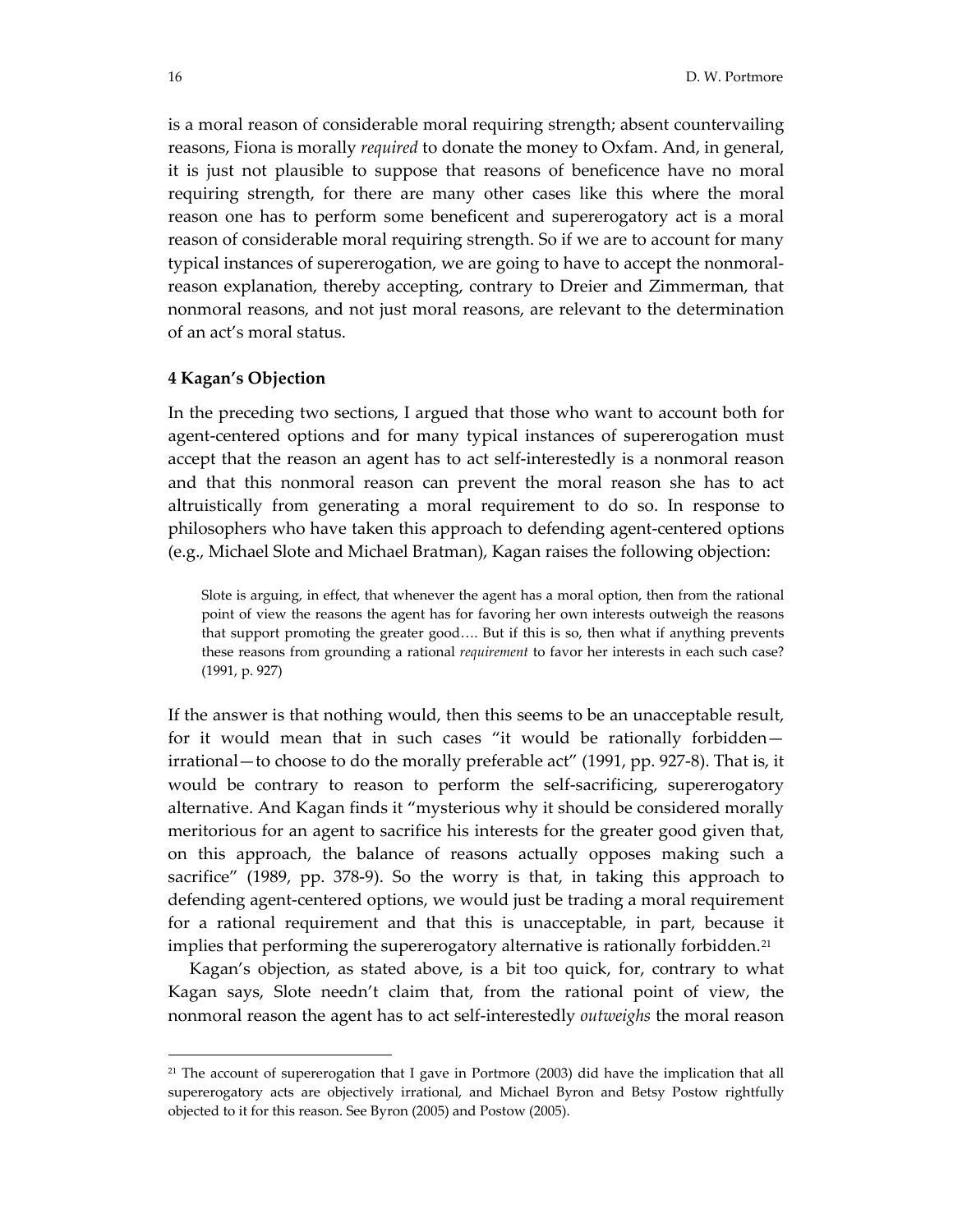is a moral reason of considerable moral requiring strength; absent countervailing reasons, Fiona is morally *required* to donate the money to Oxfam. And, in general, it is just not plausible to suppose that reasons of beneficence have no moral requiring strength, for there are many other cases like this where the moral reason one has to perform some beneficent and supererogatory act is a moral reason of considerable moral requiring strength. So if we are to account for many typical instances of supererogation, we are going to have to accept the nonmoral‐ reason explanation, thereby accepting, contrary to Dreier and Zimmerman, that nonmoral reasons, and not just moral reasons, are relevant to the determination of an act's moral status.

#### **4 Kagan's Objection**

In the preceding two sections, I argued that those who want to account both for agent-centered options and for many typical instances of supererogation must accept that the reason an agent has to act self‐interestedly is a nonmoral reason and that this nonmoral reason can prevent the moral reason she has to act altruistically from generating a moral requirement to do so. In response to philosophers who have taken this approach to defending agent‐centered options (e.g., Michael Slote and Michael Bratman), Kagan raises the following objection:

Slote is arguing, in effect, that whenever the agent has a moral option, then from the rational point of view the reasons the agent has for favoring her own interests outweigh the reasons that support promoting the greater good…. But if this is so, then what if anything prevents these reasons from grounding a rational *requirement* to favor her interests in each such case? (1991, p. 927)

If the answer is that nothing would, then this seems to be an unacceptable result, for it would mean that in such cases "it would be rationally forbidden irrational—to choose to do the morally preferable act" (1991, pp. 927‐8). That is, it would be contrary to reason to perform the self-sacrificing, supererogatory alternative. And Kagan finds it "mysterious why it should be considered morally meritorious for an agent to sacrifice his interests for the greater good given that, on this approach, the balance of reasons actually opposes making such a sacrifice" (1989, pp. 378‐9). So the worry is that, in taking this approach to defending agent‐centered options, we would just be trading a moral requirement for a rational requirement and that this is unacceptable, in part, because it implies that performing the supererogatory alternative is rationally forbidden. $21$ 

 Kagan's objection, as stated above, is a bit too quick, for, contrary to what Kagan says, Slote needn't claim that, from the rational point of view, the nonmoral reason the agent has to act self‐interestedly *outweighs* the moral reason

<span id="page-15-0"></span> $21$  The account of supererogation that I gave in Portmore (2003) did have the implication that all supererogatory acts are objectively irrational, and Michael Byron and Betsy Postow rightfully objected to it for this reason. See Byron (2005) and Postow (2005).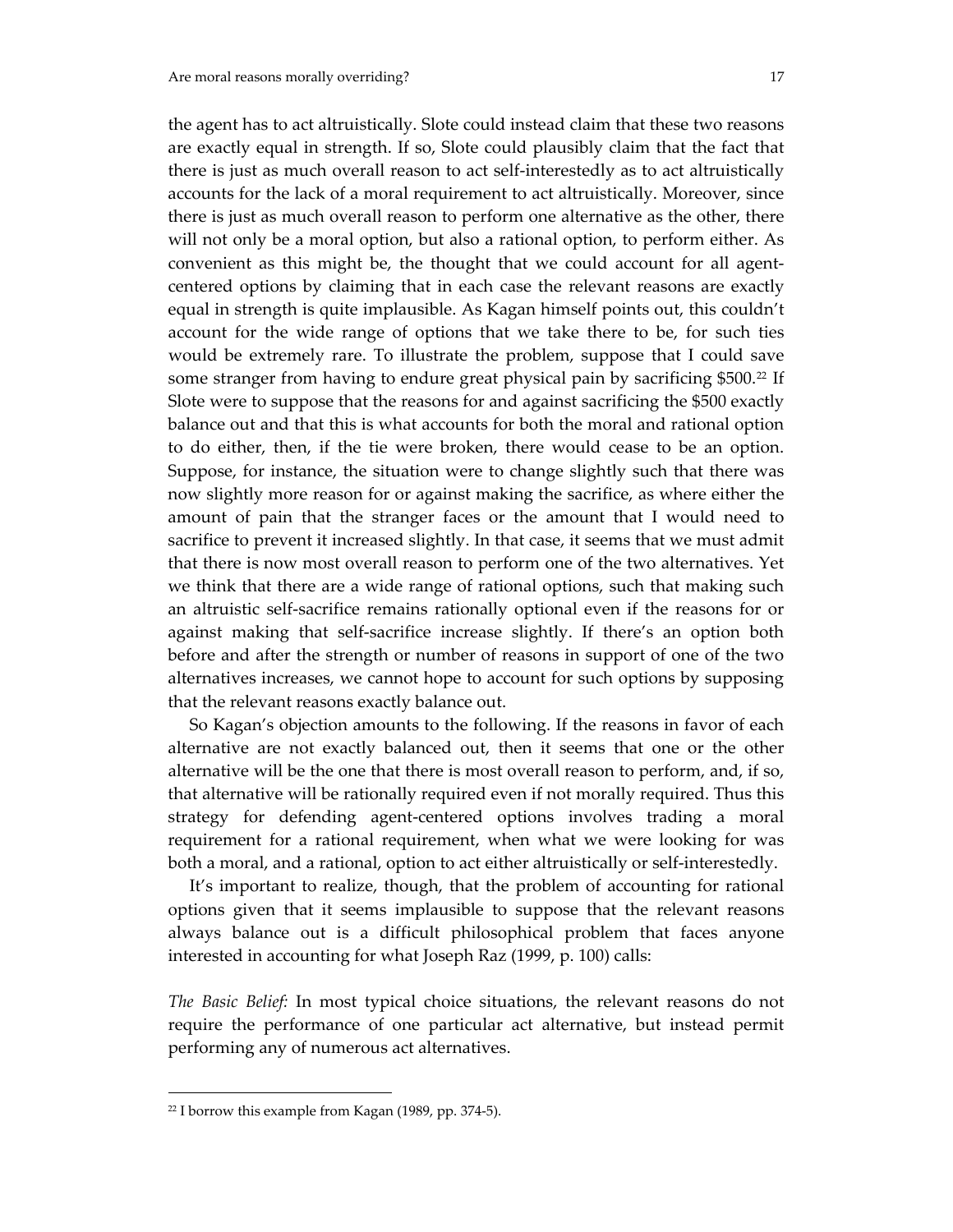the agent has to act altruistically. Slote could instead claim that these two reasons are exactly equal in strength. If so, Slote could plausibly claim that the fact that there is just as much overall reason to act self‐interestedly as to act altruistically accounts for the lack of a moral requirement to act altruistically. Moreover, since there is just as much overall reason to perform one alternative as the other, there will not only be a moral option, but also a rational option, to perform either. As convenient as this might be, the thought that we could account for all agent‐ centered options by claiming that in each case the relevant reasons are exactly equal in strength is quite implausible. As Kagan himself points out, this couldn't account for the wide range of options that we take there to be, for such ties would be extremely rare. To illustrate the problem, suppose that I could save some stranger from having to endure great physical pain by sacrificing \$500.<sup>[22](#page-16-0)</sup> If Slote were to suppose that the reasons for and against sacrificing the \$500 exactly balance out and that this is what accounts for both the moral and rational option to do either, then, if the tie were broken, there would cease to be an option. Suppose, for instance, the situation were to change slightly such that there was now slightly more reason for or against making the sacrifice, as where either the amount of pain that the stranger faces or the amount that I would need to sacrifice to prevent it increased slightly. In that case, it seems that we must admit that there is now most overall reason to perform one of the two alternatives. Yet we think that there are a wide range of rational options, such that making such an altruistic self‐sacrifice remains rationally optional even if the reasons for or against making that self‐sacrifice increase slightly. If there's an option both before and after the strength or number of reasons in support of one of the two alternatives increases, we cannot hope to account for such options by supposing that the relevant reasons exactly balance out.

 So Kagan's objection amounts to the following. If the reasons in favor of each alternative are not exactly balanced out, then it seems that one or the other alternative will be the one that there is most overall reason to perform, and, if so, that alternative will be rationally required even if not morally required. Thus this strategy for defending agent‐centered options involves trading a moral requirement for a rational requirement, when what we were looking for was both a moral, and a rational, option to act either altruistically or self-interestedly.

 It's important to realize, though, that the problem of accounting for rational options given that it seems implausible to suppose that the relevant reasons always balance out is a difficult philosophical problem that faces anyone interested in accounting for what Joseph Raz (1999, p. 100) calls:

*The Basic Belief:* In most typical choice situations, the relevant reasons do not require the performance of one particular act alternative, but instead permit performing any of numerous act alternatives.

<span id="page-16-0"></span> $22$  I borrow this example from Kagan (1989, pp. 374-5).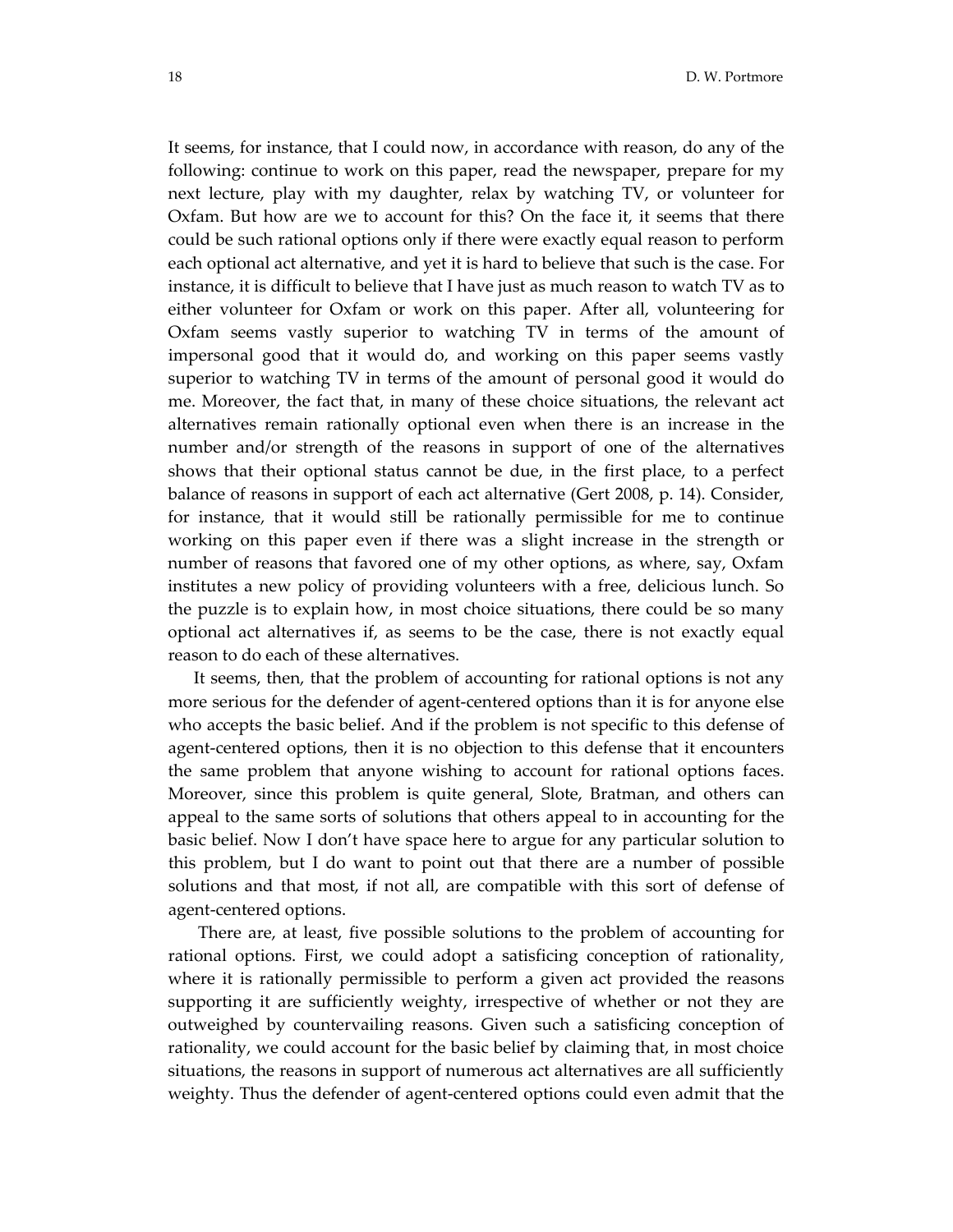It seems, for instance, that I could now, in accordance with reason, do any of the following: continue to work on this paper, read the newspaper, prepare for my next lecture, play with my daughter, relax by watching TV, or volunteer for Oxfam. But how are we to account for this? On the face it, it seems that there could be such rational options only if there were exactly equal reason to perform each optional act alternative, and yet it is hard to believe that such is the case. For instance, it is difficult to believe that I have just as much reason to watch TV as to either volunteer for Oxfam or work on this paper. After all, volunteering for Oxfam seems vastly superior to watching TV in terms of the amount of impersonal good that it would do, and working on this paper seems vastly superior to watching TV in terms of the amount of personal good it would do me. Moreover, the fact that, in many of these choice situations, the relevant act alternatives remain rationally optional even when there is an increase in the number and/or strength of the reasons in support of one of the alternatives shows that their optional status cannot be due, in the first place, to a perfect balance of reasons in support of each act alternative (Gert 2008, p. 14). Consider, for instance, that it would still be rationally permissible for me to continue working on this paper even if there was a slight increase in the strength or number of reasons that favored one of my other options, as where, say, Oxfam institutes a new policy of providing volunteers with a free, delicious lunch. So the puzzle is to explain how, in most choice situations, there could be so many optional act alternatives if, as seems to be the case, there is not exactly equal reason to do each of these alternatives.

 It seems, then, that the problem of accounting for rational options is not any more serious for the defender of agent-centered options than it is for anyone else who accepts the basic belief. And if the problem is not specific to this defense of agent‐centered options, then it is no objection to this defense that it encounters the same problem that anyone wishing to account for rational options faces. Moreover, since this problem is quite general, Slote, Bratman, and others can appeal to the same sorts of solutions that others appeal to in accounting for the basic belief. Now I don't have space here to argue for any particular solution to this problem, but I do want to point out that there are a number of possible solutions and that most, if not all, are compatible with this sort of defense of agent‐centered options.

 There are, at least, five possible solutions to the problem of accounting for rational options. First, we could adopt a satisficing conception of rationality, where it is rationally permissible to perform a given act provided the reasons supporting it are sufficiently weighty, irrespective of whether or not they are outweighed by countervailing reasons. Given such a satisficing conception of rationality, we could account for the basic belief by claiming that, in most choice situations, the reasons in support of numerous act alternatives are all sufficiently weighty. Thus the defender of agent-centered options could even admit that the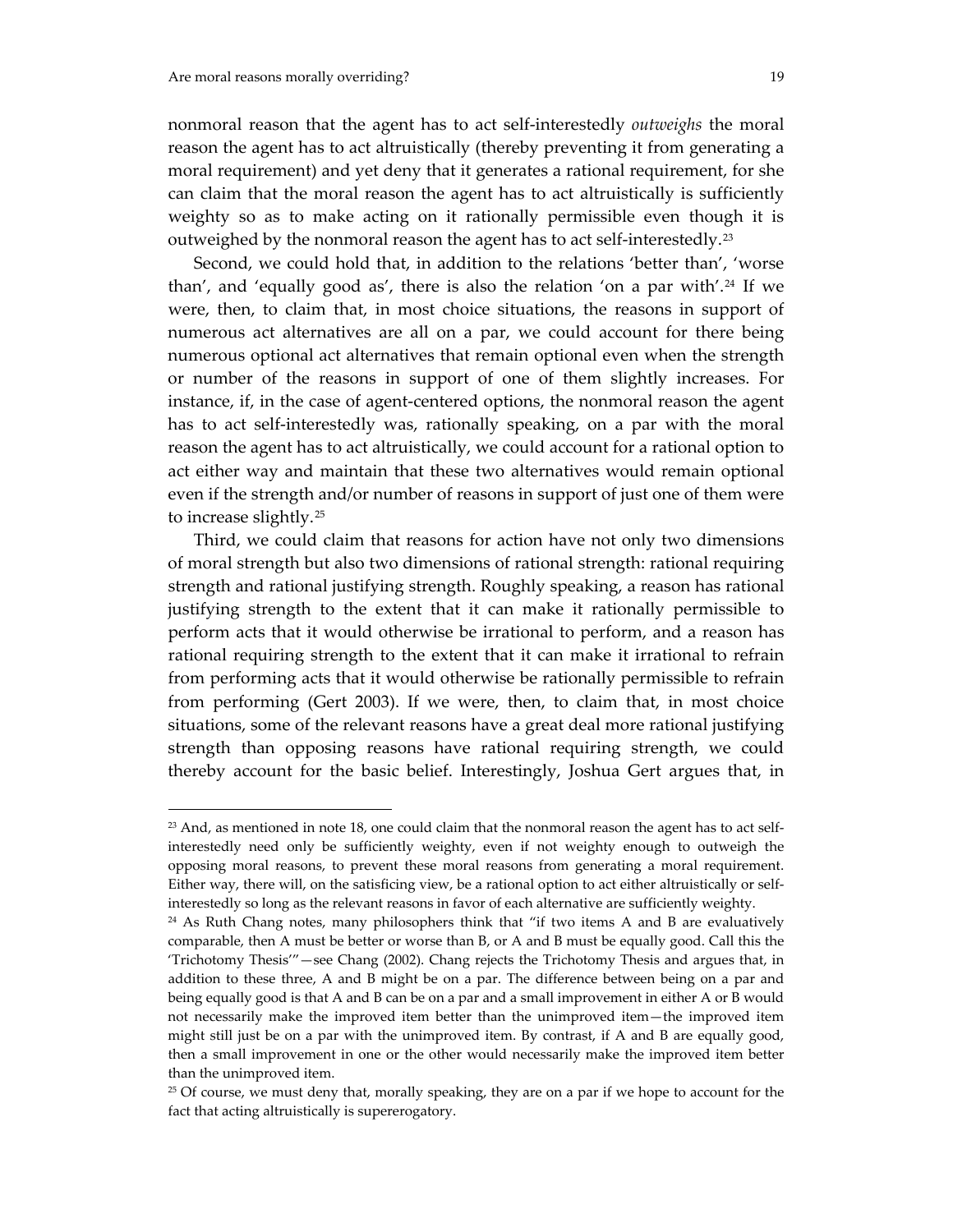$\overline{a}$ 

nonmoral reason that the agent has to act self‐interestedly *outweighs* the moral reason the agent has to act altruistically (thereby preventing it from generating a moral requirement) and yet deny that it generates a rational requirement, for she can claim that the moral reason the agent has to act altruistically is sufficiently weighty so as to make acting on it rationally permissible even though it is outweighed by the nonmoral reason the agent has to act self-interestedly.<sup>[23](#page-18-0)</sup>

 Second, we could hold that, in addition to the relations 'better than', 'worse than', and 'equally good as', there is also the relation 'on a par with'.<sup>[24](#page-18-1)</sup> If we were, then, to claim that, in most choice situations, the reasons in support of numerous act alternatives are all on a par, we could account for there being numerous optional act alternatives that remain optional even when the strength or number of the reasons in support of one of them slightly increases. For instance, if, in the case of agent-centered options, the nonmoral reason the agent has to act self-interestedly was, rationally speaking, on a par with the moral reason the agent has to act altruistically, we could account for a rational option to act either way and maintain that these two alternatives would remain optional even if the strength and/or number of reasons in support of just one of them were to increase slightly.[25](#page-18-2)

 Third, we could claim that reasons for action have not only two dimensions of moral strength but also two dimensions of rational strength: rational requiring strength and rational justifying strength. Roughly speaking, a reason has rational justifying strength to the extent that it can make it rationally permissible to perform acts that it would otherwise be irrational to perform, and a reason has rational requiring strength to the extent that it can make it irrational to refrain from performing acts that it would otherwise be rationally permissible to refrain from performing (Gert 2003). If we were, then, to claim that, in most choice situations, some of the relevant reasons have a great deal more rational justifying strength than opposing reasons have rational requiring strength, we could thereby account for the basic belief. Interestingly, Joshua Gert argues that, in

<span id="page-18-0"></span><sup>&</sup>lt;sup>23</sup> And, as mentioned in note 18, one could claim that the nonmoral reason the agent has to act selfinterestedly need only be sufficiently weighty, even if not weighty enough to outweigh the opposing moral reasons, to prevent these moral reasons from generating a moral requirement. Either way, there will, on the satisficing view, be a rational option to act either altruistically or selfinterestedly so long as the relevant reasons in favor of each alternative are sufficiently weighty.

<span id="page-18-1"></span><sup>&</sup>lt;sup>24</sup> As Ruth Chang notes, many philosophers think that "if two items A and B are evaluatively comparable, then A must be better or worse than B, or A and B must be equally good. Call this the 'Trichotomy Thesis'"—see Chang (2002). Chang rejects the Trichotomy Thesis and argues that, in addition to these three, A and B might be on a par. The difference between being on a par and being equally good is that A and B can be on a par and a small improvement in either A or B would not necessarily make the improved item better than the unimproved item—the improved item might still just be on a par with the unimproved item. By contrast, if A and B are equally good, then a small improvement in one or the other would necessarily make the improved item better than the unimproved item.

<span id="page-18-2"></span><sup>&</sup>lt;sup>25</sup> Of course, we must deny that, morally speaking, they are on a par if we hope to account for the fact that acting altruistically is supererogatory.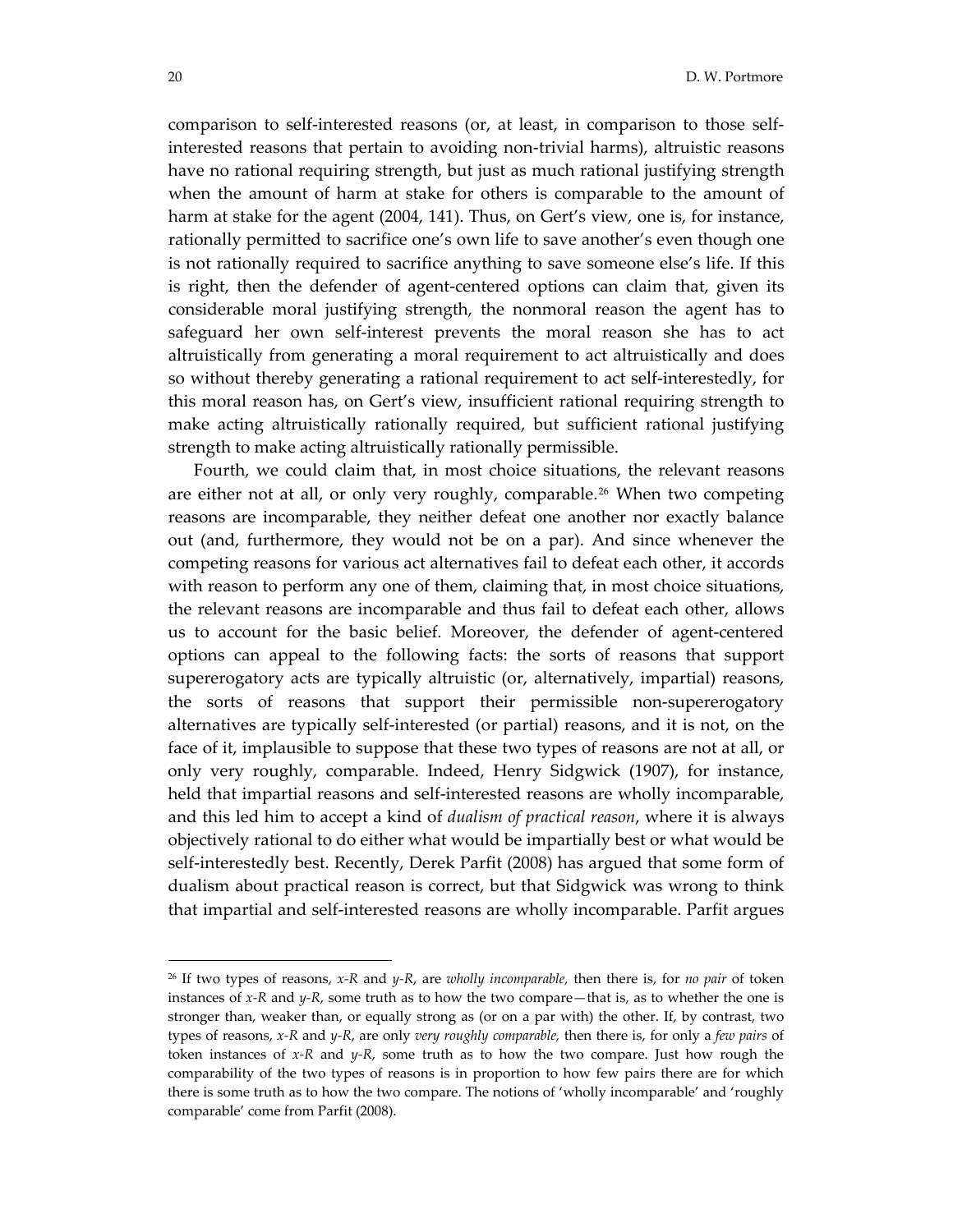comparison to self‐interested reasons (or, at least, in comparison to those self‐ interested reasons that pertain to avoiding non‐trivial harms), altruistic reasons have no rational requiring strength, but just as much rational justifying strength when the amount of harm at stake for others is comparable to the amount of harm at stake for the agent (2004, 141). Thus, on Gert's view, one is, for instance, rationally permitted to sacrifice one's own life to save another's even though one is not rationally required to sacrifice anything to save someone else's life. If this is right, then the defender of agent-centered options can claim that, given its considerable moral justifying strength, the nonmoral reason the agent has to safeguard her own self-interest prevents the moral reason she has to act altruistically from generating a moral requirement to act altruistically and does so without thereby generating a rational requirement to act self-interestedly, for this moral reason has, on Gert's view, insufficient rational requiring strength to make acting altruistically rationally required, but sufficient rational justifying strength to make acting altruistically rationally permissible.

 Fourth, we could claim that, in most choice situations, the relevant reasons are either not at all, or only very roughly, comparable.<sup>[26](#page-19-0)</sup> When two competing reasons are incomparable, they neither defeat one another nor exactly balance out (and, furthermore, they would not be on a par). And since whenever the competing reasons for various act alternatives fail to defeat each other, it accords with reason to perform any one of them, claiming that, in most choice situations, the relevant reasons are incomparable and thus fail to defeat each other, allows us to account for the basic belief. Moreover, the defender of agent‐centered options can appeal to the following facts: the sorts of reasons that support supererogatory acts are typically altruistic (or, alternatively, impartial) reasons, the sorts of reasons that support their permissible non‐supererogatory alternatives are typically self‐interested (or partial) reasons, and it is not, on the face of it, implausible to suppose that these two types of reasons are not at all, or only very roughly, comparable. Indeed, Henry Sidgwick (1907), for instance, held that impartial reasons and self-interested reasons are wholly incomparable, and this led him to accept a kind of *dualism of practical reason*, where it is always objectively rational to do either what would be impartially best or what would be self-interestedly best. Recently, Derek Parfit (2008) has argued that some form of dualism about practical reason is correct, but that Sidgwick was wrong to think that impartial and self‐interested reasons are wholly incomparable. Parfit argues

<span id="page-19-0"></span><sup>26</sup> If two types of reasons, *x‐R* and *y‐R*, are *wholly incomparable,* then there is, for *no pair* of token instances of *x‐R* and *y‐R*, some truth as to how the two compare—that is, as to whether the one is stronger than, weaker than, or equally strong as (or on a par with) the other. If, by contrast, two types of reasons, *x‐R* and *y‐R*, are only *very roughly comparable,* then there is, for only a *few pairs* of token instances of  $x$ <sup>-</sup> $R$  and  $y$ <sup>- $R$ </sup>, some truth as to how the two compare. Just how rough the comparability of the two types of reasons is in proportion to how few pairs there are for which there is some truth as to how the two compare. The notions of 'wholly incomparable' and 'roughly comparable' come from Parfit (2008).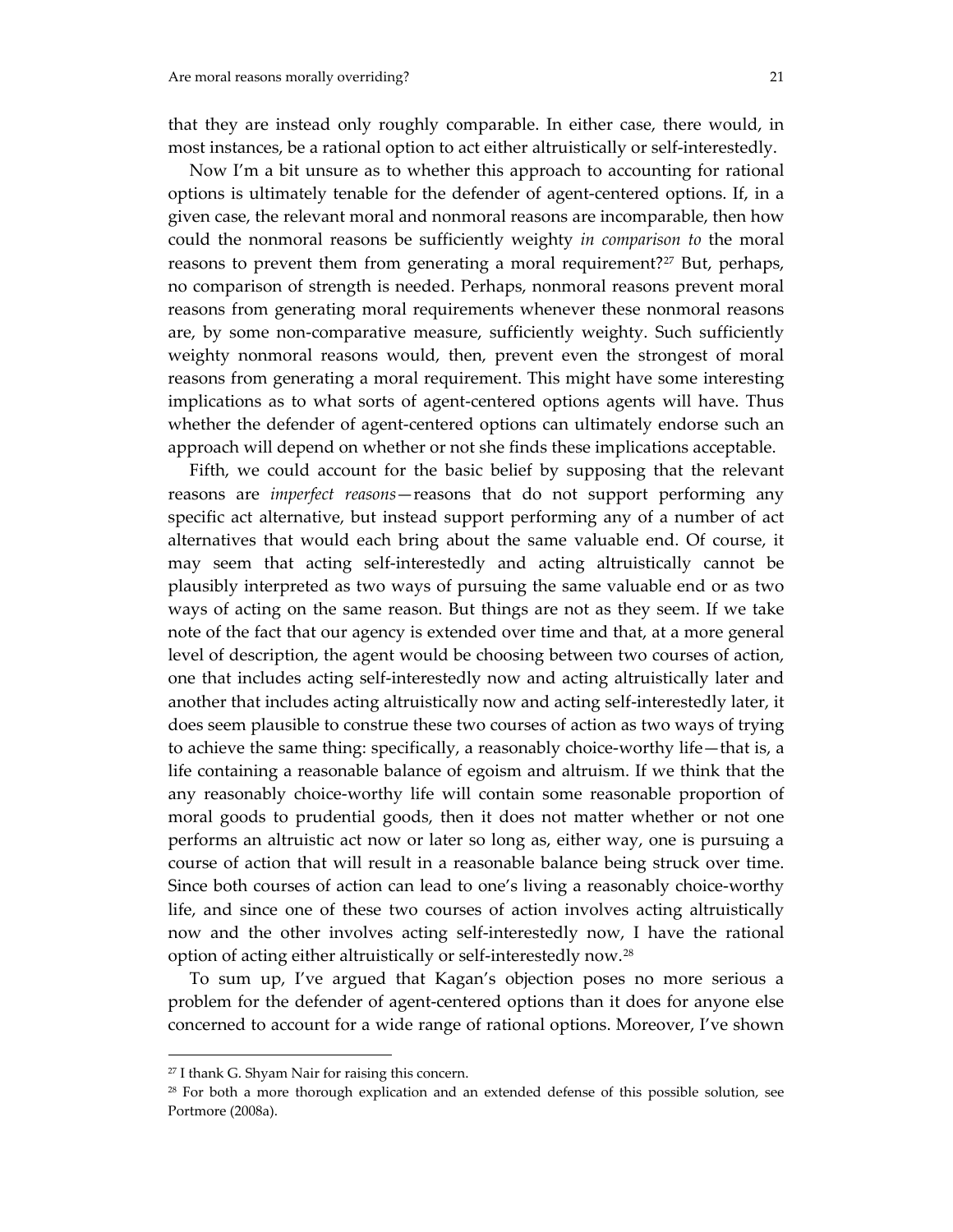that they are instead only roughly comparable. In either case, there would, in most instances, be a rational option to act either altruistically or self-interestedly.

 Now I'm a bit unsure as to whether this approach to accounting for rational options is ultimately tenable for the defender of agent‐centered options. If, in a given case, the relevant moral and nonmoral reasons are incomparable, then how could the nonmoral reasons be sufficiently weighty *in comparison to* the moral reasons to prevent them from generating a moral requirement?<sup>[27](#page-20-0)</sup> But, perhaps, no comparison of strength is needed. Perhaps, nonmoral reasons prevent moral reasons from generating moral requirements whenever these nonmoral reasons are, by some non‐comparative measure, sufficiently weighty. Such sufficiently weighty nonmoral reasons would, then, prevent even the strongest of moral reasons from generating a moral requirement. This might have some interesting implications as to what sorts of agent-centered options agents will have. Thus whether the defender of agent-centered options can ultimately endorse such an approach will depend on whether or not she finds these implications acceptable.

 Fifth, we could account for the basic belief by supposing that the relevant reasons are *imperfect reasons*—reasons that do not support performing any specific act alternative, but instead support performing any of a number of act alternatives that would each bring about the same valuable end. Of course, it may seem that acting self-interestedly and acting altruistically cannot be plausibly interpreted as two ways of pursuing the same valuable end or as two ways of acting on the same reason. But things are not as they seem. If we take note of the fact that our agency is extended over time and that, at a more general level of description, the agent would be choosing between two courses of action, one that includes acting self‐interestedly now and acting altruistically later and another that includes acting altruistically now and acting self‐interestedly later, it does seem plausible to construe these two courses of action as two ways of trying to achieve the same thing: specifically, a reasonably choice‐worthy life—that is, a life containing a reasonable balance of egoism and altruism. If we think that the any reasonably choice‐worthy life will contain some reasonable proportion of moral goods to prudential goods, then it does not matter whether or not one performs an altruistic act now or later so long as, either way, one is pursuing a course of action that will result in a reasonable balance being struck over time. Since both courses of action can lead to one's living a reasonably choice‐worthy life, and since one of these two courses of action involves acting altruistically now and the other involves acting self-interestedly now, I have the rational option of acting either altruistically or self‐interestedly now.[28](#page-20-1)

 To sum up, I've argued that Kagan's objection poses no more serious a problem for the defender of agent-centered options than it does for anyone else concerned to account for a wide range of rational options. Moreover, I've shown

<span id="page-20-0"></span><sup>27</sup> I thank G. Shyam Nair for raising this concern.

<span id="page-20-1"></span><sup>&</sup>lt;sup>28</sup> For both a more thorough explication and an extended defense of this possible solution, see Portmore (2008a).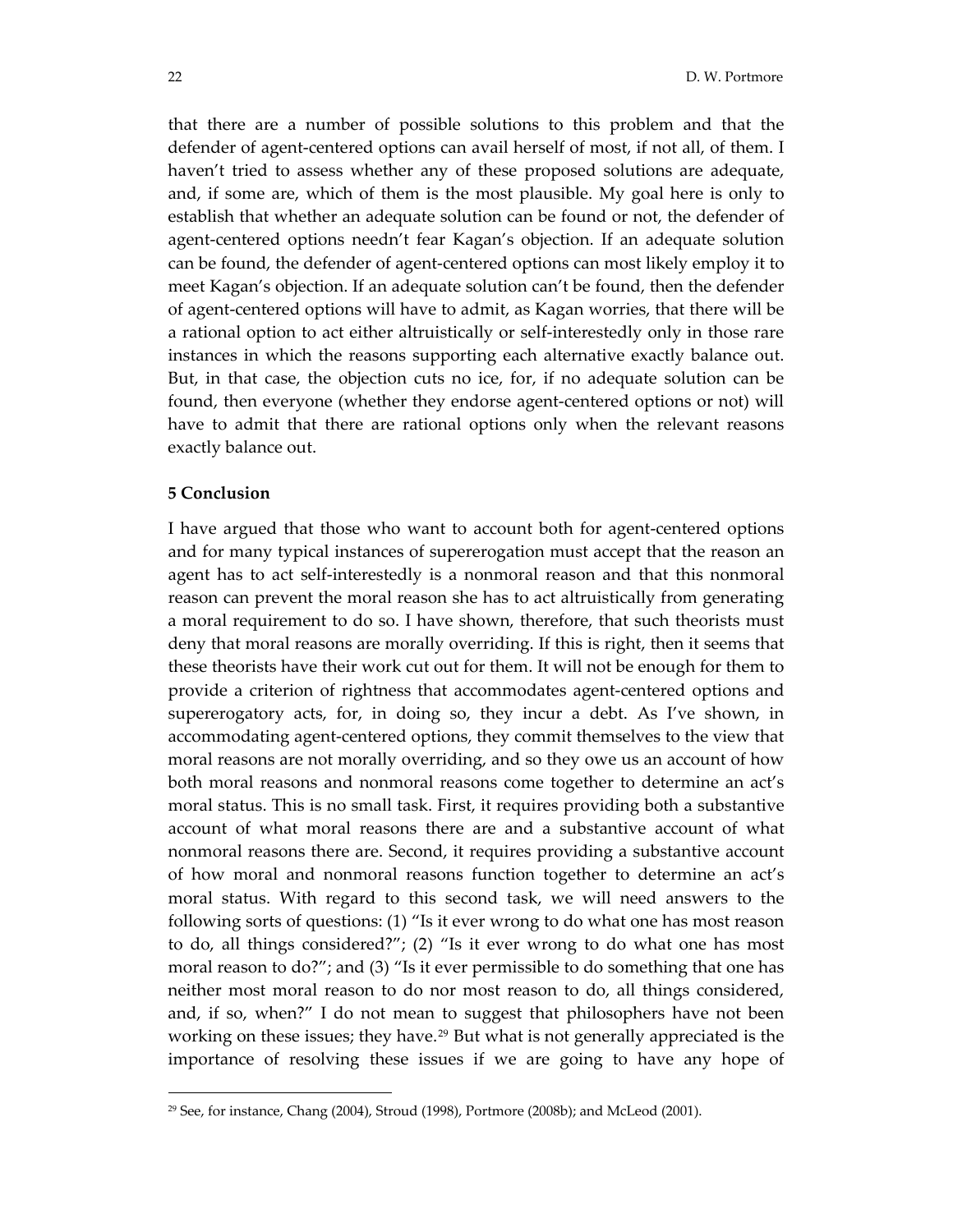that there are a number of possible solutions to this problem and that the defender of agent‐centered options can avail herself of most, if not all, of them. I haven't tried to assess whether any of these proposed solutions are adequate, and, if some are, which of them is the most plausible. My goal here is only to establish that whether an adequate solution can be found or not, the defender of agent‐centered options needn't fear Kagan's objection. If an adequate solution can be found, the defender of agent‐centered options can most likely employ it to meet Kagan's objection. If an adequate solution can't be found, then the defender of agent‐centered options will have to admit, as Kagan worries, that there will be a rational option to act either altruistically or self‐interestedly only in those rare instances in which the reasons supporting each alternative exactly balance out. But, in that case, the objection cuts no ice, for, if no adequate solution can be found, then everyone (whether they endorse agent‐centered options or not) will have to admit that there are rational options only when the relevant reasons exactly balance out.

#### **5 Conclusion**

 $\overline{a}$ 

I have argued that those who want to account both for agent‐centered options and for many typical instances of supererogation must accept that the reason an agent has to act self‐interestedly is a nonmoral reason and that this nonmoral reason can prevent the moral reason she has to act altruistically from generating a moral requirement to do so. I have shown, therefore, that such theorists must deny that moral reasons are morally overriding. If this is right, then it seems that these theorists have their work cut out for them. It will not be enough for them to provide a criterion of rightness that accommodates agent-centered options and supererogatory acts, for, in doing so, they incur a debt. As I've shown, in accommodating agent‐centered options, they commit themselves to the view that moral reasons are not morally overriding, and so they owe us an account of how both moral reasons and nonmoral reasons come together to determine an act's moral status. This is no small task. First, it requires providing both a substantive account of what moral reasons there are and a substantive account of what nonmoral reasons there are. Second, it requires providing a substantive account of how moral and nonmoral reasons function together to determine an act's moral status. With regard to this second task, we will need answers to the following sorts of questions: (1) "Is it ever wrong to do what one has most reason to do, all things considered?"; (2) "Is it ever wrong to do what one has most moral reason to do?"; and (3) "Is it ever permissible to do something that one has neither most moral reason to do nor most reason to do, all things considered, and, if so, when?" I do not mean to suggest that philosophers have not been working on these issues; they have.<sup>[29](#page-21-0)</sup> But what is not generally appreciated is the importance of resolving these issues if we are going to have any hope of

<span id="page-21-0"></span> $29$  See, for instance, Chang (2004), Stroud (1998), Portmore (2008b); and McLeod (2001).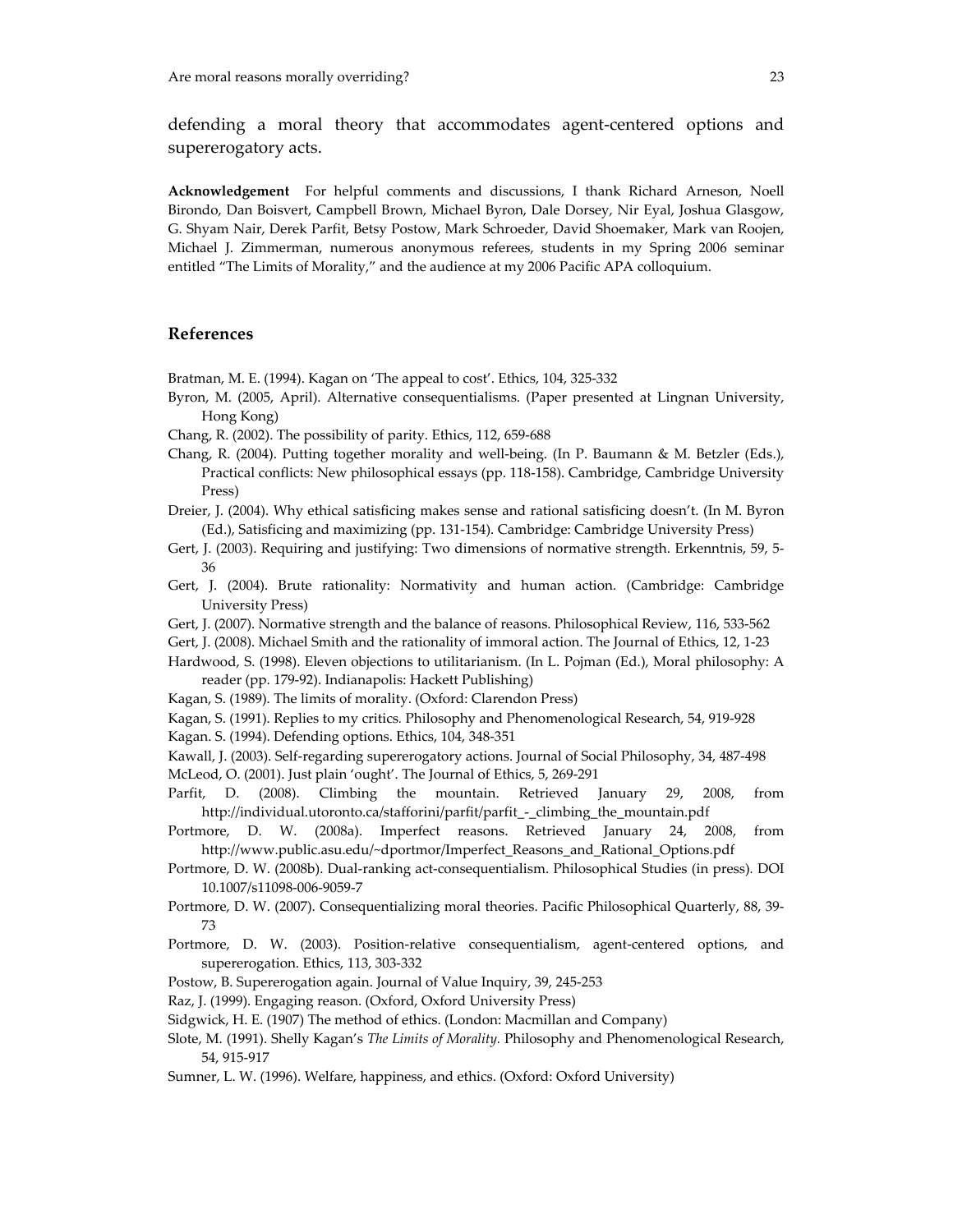defending a moral theory that accommodates agent‐centered options and supererogatory acts.

**Acknowledgement**  For helpful comments and discussions, I thank Richard Arneson, Noell Birondo, Dan Boisvert, Campbell Brown, Michael Byron, Dale Dorsey, Nir Eyal, Joshua Glasgow, G. Shyam Nair, Derek Parfit, Betsy Postow, Mark Schroeder, David Shoemaker, Mark van Roojen, Michael J. Zimmerman, numerous anonymous referees, students in my Spring 2006 seminar entitled "The Limits of Morality," and the audience at my 2006 Pacific APA colloquium.

# **References**

Bratman, M. E. (1994). Kagan on 'The appeal to cost'. Ethics, 104, 325‐332

- Byron, M. (2005, April). Alternative consequentialisms. (Paper presented at Lingnan University, Hong Kong)
- Chang, R. (2002). The possibility of parity. Ethics, 112, 659‐688
- Chang, R. (2004). Putting together morality and well‐being. (In P. Baumann & M. Betzler (Eds.), Practical conflicts: New philosophical essays (pp. 118‐158). Cambridge, Cambridge University Press)
- Dreier, J. (2004). Why ethical satisficing makes sense and rational satisficing doesn't. (In M. Byron (Ed.), Satisficing and maximizing (pp. 131‐154). Cambridge: Cambridge University Press)
- Gert, J. (2003). Requiring and justifying: Two dimensions of normative strength. Erkenntnis, 59, 5-36
- Gert, J. (2004). Brute rationality: Normativity and human action. (Cambridge: Cambridge University Press)
- Gert, J. (2007). Normative strength and the balance of reasons. Philosophical Review, 116, 533‐562
- Gert, J. (2008). Michael Smith and the rationality of immoral action. The Journal of Ethics, 12, 1‐23
- Hardwood, S. (1998). Eleven objections to utilitarianism. (In L. Pojman (Ed.), Moral philosophy: A reader (pp. 179‐92). Indianapolis: Hackett Publishing)
- Kagan, S. (1989). The limits of morality. (Oxford: Clarendon Press)
- Kagan, S. (1991). Replies to my critics*.* Philosophy and Phenomenological Research, 54, 919‐928
- Kagan. S. (1994). Defending options. Ethics, 104, 348‐351
- Kawall, J. (2003). Self‐regarding supererogatory actions. Journal of Social Philosophy, 34, 487‐498
- McLeod, O. (2001). Just plain 'ought'. The Journal of Ethics, 5, 269‐291
- Parfit, D. (2008). Climbing the mountain. Retrieved January 29, 2008, from http://individual.utoronto.ca/stafforini/parfit/parfit\_‐\_climbing\_the\_mountain.pdf
- Portmore, D. W. (2008a). Imperfect reasons. Retrieved January 24, 2008, from http://www.public.asu.edu/~dportmor/Imperfect\_Reasons\_and\_Rational\_Options.pdf
- Portmore, D. W. (2008b). Dual‐ranking act‐consequentialism. Philosophical Studies (in press)*.* DOI 10.1007/s11098‐006‐9059‐7
- Portmore, D. W. (2007). Consequentializing moral theories. Pacific Philosophical Quarterly, 88, 39‐ 73
- Portmore, D. W. (2003). Position-relative consequentialism, agent-centered options, and supererogation. Ethics, 113, 303‐332
- Postow, B. Supererogation again. Journal of Value Inquiry, 39, 245‐253
- Raz, J. (1999). Engaging reason. (Oxford, Oxford University Press)
- Sidgwick, H. E. (1907) The method of ethics. (London: Macmillan and Company)
- Slote, M. (1991). Shelly Kagan's *The Limits of Morality.* Philosophy and Phenomenological Research, 54, 915‐917
- Sumner, L. W. (1996). Welfare, happiness, and ethics. (Oxford: Oxford University)